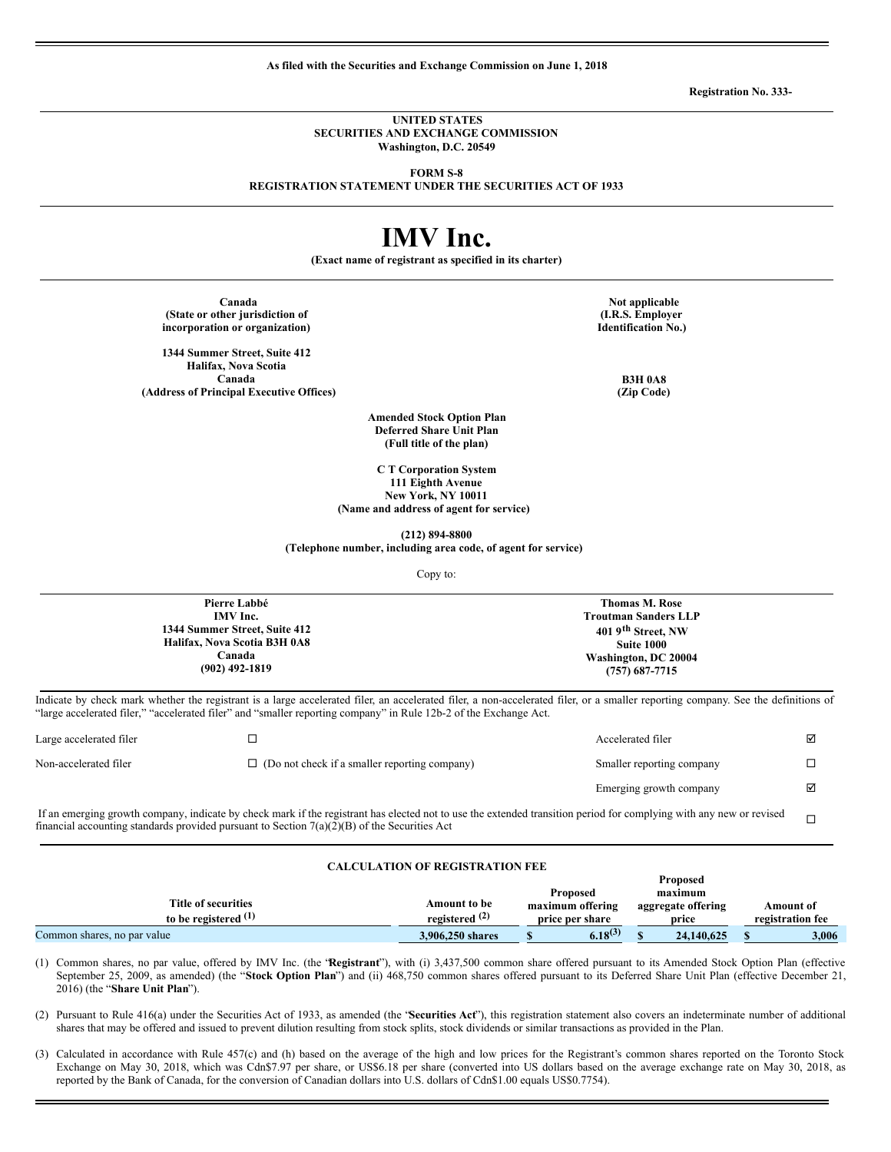**As filed with the Securities and Exchange Commission on June 1, 2018**

**Registration No. 333-**

#### **UNITED STATES SECURITIES AND EXCHANGE COMMISSION Washington, D.C. 20549**

**FORM S-8**

**REGISTRATION STATEMENT UNDER THE SECURITIES ACT OF 1933**

# **IMV Inc.**

**(Exact name of registrant as specified in its charter)**

**(State or other jurisdiction of incorporation or organization)**

**1344 Summer Street, Suite 412 Halifax, Nova Scotia Canada B3H 0A8 (Address of Principal Executive Offices) (Zip Code)**

**Canada Note Applicable Note Note Note Note Note Note Note Note Note Note Note Note Note Note Note Note Note Note Note Note Note Note Note Note Note Note Note Not (I.R.S. Employer Identification No.)**

**Amended Stock Option Plan Deferred Share Unit Plan (Full title of the plan)**

**C T Corporation System 111 Eighth Avenue New York, NY 10011 (Name and address of agent for service)**

**(212) 894-8800**

**(Telephone number, including area code, of agent for service)**

Copy to:

| Pierre Labbé                  | <b>Thomas M. Rose</b>          |
|-------------------------------|--------------------------------|
| IMV Inc.                      | <b>Troutman Sanders LLP</b>    |
| 1344 Summer Street, Suite 412 | 401 9 <sup>th</sup> Street, NW |
| Halifax, Nova Scotia B3H 0A8  | Suite 1000                     |
| Canada                        | Washington, DC 20004           |
| $(902)$ 492-1819              | $(757)$ 687-7715               |
|                               |                                |

Indicate by check mark whether the registrant is a large accelerated filer, an accelerated filer, a non-accelerated filer, or a smaller reporting company. See the definitions of "large accelerated filer," "accelerated filer" and "smaller reporting company" in Rule 12b-2 of the Exchange Act.

| Large accelerated filer |                                                      | Accelerated filer         | ☑ |
|-------------------------|------------------------------------------------------|---------------------------|---|
| Non-accelerated filer   | $\Box$ (Do not check if a smaller reporting company) | Smaller reporting company |   |
|                         |                                                      | Emerging growth company   | ☑ |

If an emerging growth company, indicate by check mark if the registrant has elected not to use the extended transition period for complying with any new or revised It an emerging growth company, indicate by check mark it the registrant has elected not to use the extended transition period for complying with any new or revised  $\Box$ <br>
financial accounting standards provided pursuant to

#### **CALCULATION OF REGISTRATION FEE**

|                             |                  |                  | <b>Proposed</b>    |                  |
|-----------------------------|------------------|------------------|--------------------|------------------|
|                             |                  | <b>Proposed</b>  | maximum            |                  |
| <b>Title of securities</b>  | Amount to be     | maximum offering | aggregate offering | Amount of        |
| to be registered $(1)$      | registered $(2)$ | price per share  | price              | registration fee |
| Common shares, no par value | 3,906,250 shares | $6.18^{(3)}$     | 24,140,625         | 3.006            |

(1) Common shares, no par value, offered by IMV Inc. (the "**Registrant**"), with (i) 3,437,500 common share offered pursuant to its Amended Stock Option Plan (effective September 25, 2009, as amended) (the "**Stock Option Plan**") and (ii) 468,750 common shares offered pursuant to its Deferred Share Unit Plan (effective December 21, 2016) (the "**Share Unit Plan**").

(2) Pursuant to Rule 416(a) under the Securities Act of 1933, as amended (the "**Securities Act**"), this registration statement also covers an indeterminate number of additional shares that may be offered and issued to prevent dilution resulting from stock splits, stock dividends or similar transactions as provided in the Plan.

(3) Calculated in accordance with Rule 457(c) and (h) based on the average of the high and low prices for the Registrant's common shares reported on the Toronto Stock Exchange on May 30, 2018, which was Cdn\$7.97 per share, or US\$6.18 per share (converted into US dollars based on the average exchange rate on May 30, 2018, as reported by the Bank of Canada, for the conversion of Canadian dollars into U.S. dollars of Cdn\$1.00 equals US\$0.7754).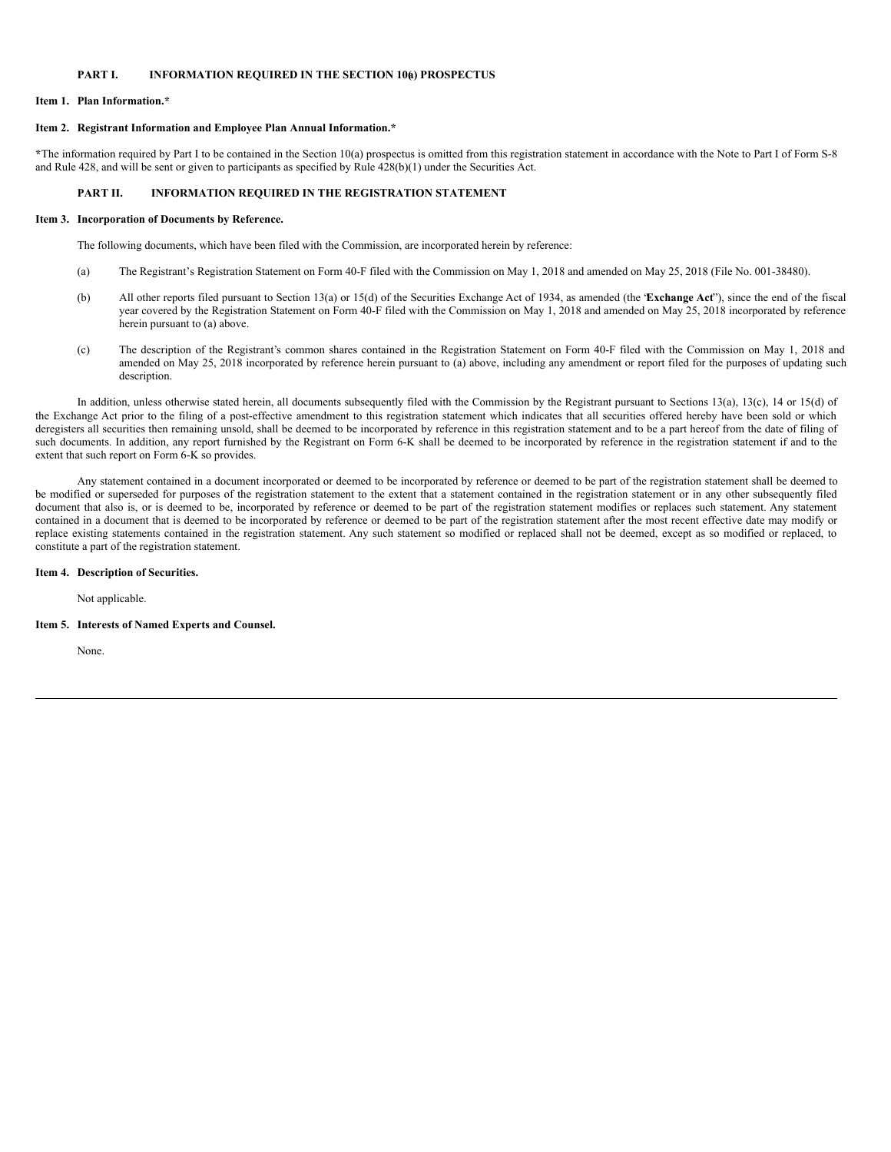# **PART I. INFORMATION REQUIRED IN THE SECTION 10(a) PROSPECTUS**

# **Item 1. Plan Information.\***

#### **Item 2. Registrant Information and Employee Plan Annual Information.\***

**\***The information required by Part I to be contained in the Section 10(a) prospectus is omitted from this registration statement in accordance with the Note to Part I of Form S-8 and Rule 428, and will be sent or given to participants as specified by Rule 428(b)(1) under the Securities Act.

# **PART II. INFORMATION REQUIRED IN THE REGISTRATION STATEMENT**

#### **Item 3. Incorporation of Documents by Reference.**

The following documents, which have been filed with the Commission, are incorporated herein by reference:

- (a) The Registrant's Registration Statement on Form 40-F filed with the Commission on May 1, 2018 and amended on May 25, 2018 (File No. 001-38480).
- (b) All other reports filed pursuant to Section 13(a) or 15(d) of the Securities Exchange Act of 1934, as amended (the "**Exchange Act**"), since the end of the fiscal year covered by the Registration Statement on Form 40-F filed with the Commission on May 1, 2018 and amended on May 25, 2018 incorporated by reference herein pursuant to (a) above.
- (c) The description of the Registrant's common shares contained in the Registration Statement on Form 40-F filed with the Commission on May 1, 2018 and amended on May 25, 2018 incorporated by reference herein pursuant to  $\overline{a}$ ) above, including any amendment or report filed for the purposes of updating such description.

In addition, unless otherwise stated herein, all documents subsequently filed with the Commission by the Registrant pursuant to Sections 13(a), 13(c), 14 or 15(d) of the Exchange Act prior to the filing of a post-effective amendment to this registration statement which indicates that all securities offered hereby have been sold or which deregisters all securities then remaining unsold, shall be deemed to be incorporated by reference in this registration statement and to be a part hereof from the date of filing of such documents. In addition, any report furnished by the Registrant on Form 6-K shall be deemed to be incorporated by reference in the registration statement if and to the extent that such report on Form 6-K so provides.

Any statement contained in a document incorporated or deemed to be incorporated by reference or deemed to be part of the registration statement shall be deemed to be modified or superseded for purposes of the registration statement to the extent that a statement contained in the registration statement or in any other subsequently filed document that also is, or is deemed to be, incorporated by reference or deemed to be part of the registration statement modifies or replaces such statement. Any statement contained in a document that is deemed to be incorporated by reference or deemed to be part of the registration statement after the most recent effective date may modify or replace existing statements contained in the registration statement. Any such statement so modified or replaced shall not be deemed, except as so modified or replaced, to constitute a part of the registration statement.

#### **Item 4. Description of Securities.**

Not applicable.

#### **Item 5. Interests of Named Experts and Counsel.**

None.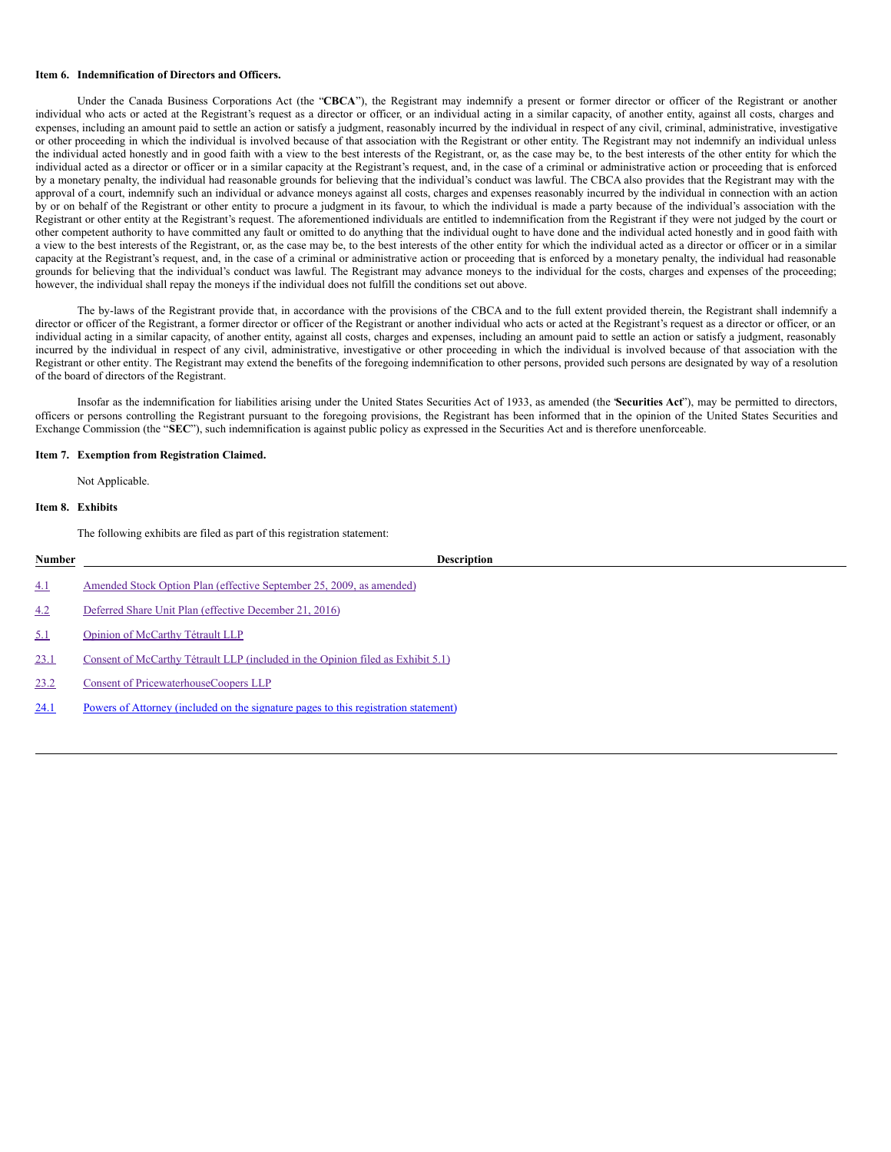#### **Item 6. Indemnification of Directors and Officers.**

Under the Canada Business Corporations Act (the "**CBCA**"), the Registrant may indemnify a present or former director or officer of the Registrant or another individual who acts or acted at the Registrant's request as a director or officer, or an individual acting in a similar capacity, of another entity, against all costs, charges and expenses, including an amount paid to settle an action or satisfy a judgment, reasonably incurred by the individual in respect of any civil, criminal, administrative, investigative or other proceeding in which the individual is involved because of that association with the Registrant or other entity. The Registrant may not indemnify an individual unless the individual acted honestly and in good faith with a view to the best interests of the Registrant, or, as the case may be, to the best interests of the other entity for which the individual acted as a director or officer or in a similar capacity at the Registrant's request, and, in the case of a criminal or administrative action or proceeding that is enforced by a monetary penalty, the individual had reasonable grounds for believing that the individual's conduct was lawful. The CBCA also provides that the Registrant may with the approval of a court, indemnify such an individual or advance moneys against all costs, charges and expenses reasonably incurred by the individual in connection with an action by or on behalf of the Registrant or other entity to procure a judgment in its favour, to which the individual is made a party because of the individual's association with the Registrant or other entity at the Registrant's request. The aforementioned individuals are entitled to indemnification from the Registrant if they were not judged by the court or other competent authority to have committed any fault or omitted to do anything that the individual ought to have done and the individual acted honestly and in good faith with a view to the best interests of the Registrant, or, as the case may be, to the best interests of the other entity for which the individual acted as a director or officer or in a similar capacity at the Registrant's request, and, in the case of a criminal or administrative action or proceeding that is enforced by a monetary penalty, the individual had reasonable grounds for believing that the individual's conduct was lawful. The Registrant may advance moneys to the individual for the costs, charges and expenses of the proceeding; however, the individual shall repay the moneys if the individual does not fulfill the conditions set out above.

The by-laws of the Registrant provide that, in accordance with the provisions of the CBCA and to the full extent provided therein, the Registrant shall indemnify a director or officer of the Registrant, a former director or officer of the Registrant or another individual who acts or acted at the Registrant's request as a director or officer, or an individual acting in a similar capacity, of another entity, against all costs, charges and expenses, including an amount paid to settle an action or satisfy a judgment, reasonably incurred by the individual in respect of any civil, administrative, investigative or other proceeding in which the individual is involved because of that association with the Registrant or other entity. The Registrant may extend the benefits of the foregoing indemnification to other persons, provided such persons are designated by way of a resolution of the board of directors of the Registrant.

Insofar as the indemnification for liabilities arising under the United States Securities Act of 1933, as amended (the "**Securities Act**"), may be permitted to directors, officers or persons controlling the Registrant pursuant to the foregoing provisions, the Registrant has been informed that in the opinion of the United States Securities and Exchange Commission (the "**SEC**"), such indemnification is against public policy as expressed in the Securities Act and is therefore unenforceable.

#### **Item 7. Exemption from Registration Claimed.**

Not Applicable.

# **Item 8. Exhibits**

The following exhibits are filed as part of this registration statement:

| Number | <b>Description</b>                                                                  |
|--------|-------------------------------------------------------------------------------------|
| 4.1    | Amended Stock Option Plan (effective September 25, 2009, as amended)                |
| 4.2    | Deferred Share Unit Plan (effective December 21, 2016)                              |
| 5.1    | Opinion of McCarthy Tétrault LLP                                                    |
| 23.1   | Consent of McCarthy Tétrault LLP (included in the Opinion filed as Exhibit 5.1)     |
| 23.2   | Consent of PricewaterhouseCoopers LLP                                               |
| 24.1   | Powers of Attorney (included on the signature pages to this registration statement) |
|        |                                                                                     |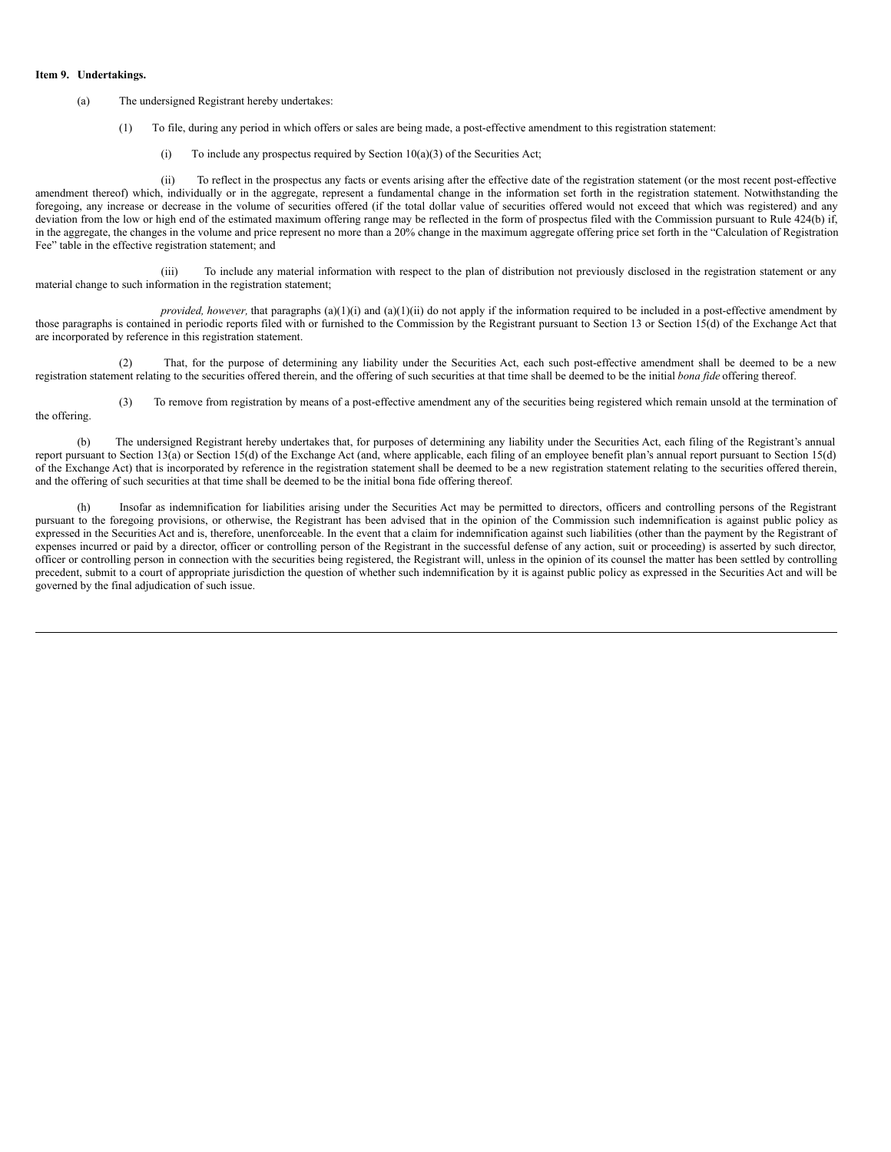#### **Item 9. Undertakings.**

#### (a) The undersigned Registrant hereby undertakes:

- (1) To file, during any period in which offers or sales are being made, a post-effective amendment to this registration statement:
	- (i) To include any prospectus required by Section  $10(a)(3)$  of the Securities Act;

(ii) To reflect in the prospectus any facts or events arising after the effective date of the registration statement (or the most recent post-effective amendment thereof) which, individually or in the aggregate, represent a fundamental change in the information set forth in the registration statement. Notwithstanding the foregoing, any increase or decrease in the volume of securities offered (if the total dollar value of securities offered would not exceed that which was registered) and any deviation from the low or high end of the estimated maximum offering range may be reflected in the form of prospectus filed with the Commission pursuant to Rule 424(b) if, in the aggregate, the changes in the volume and price represent no more than a 20% change in the maximum aggregate offering price set forth in the "Calculation of Registration Fee" table in the effective registration statement; and

(iii) To include any material information with respect to the plan of distribution not previously disclosed in the registration statement or any material change to such information in the registration statement;

*provided, however,* that paragraphs (a)(1)(i) and (a)(1)(ii) do not apply if the information required to be included in a post-effective amendment by those paragraphs is contained in periodic reports filed with or furnished to the Commission by the Registrant pursuant to Section 13 or Section 15(d) of the Exchange Act that are incorporated by reference in this registration statement.

(2) That, for the purpose of determining any liability under the Securities Act, each such post-effective amendment shall be deemed to be a new registration statement relating to the securities offered therein, and the offering of such securities at that time shall be deemed to be the initial *bona fide* offering thereof.

(3) To remove from registration by means of a post-effective amendment any of the securities being registered which remain unsold at the termination of the offering.

(b) The undersigned Registrant hereby undertakes that, for purposes of determining any liability under the Securities Act, each filing of the Registrant's annual report pursuant to Section 13(a) or Section 15(d) of the Exchange Act (and, where applicable, each filing of an employee benefit plan's annual report pursuant to Section 15(d) of the Exchange Act) that is incorporated by reference in the registration statement shall be deemed to be a new registration statement relating to the securities offered therein, and the offering of such securities at that time shall be deemed to be the initial bona fide offering thereof.

(h) Insofar as indemnification for liabilities arising under the Securities Act may be permitted to directors, officers and controlling persons of the Registrant pursuant to the foregoing provisions, or otherwise, the Registrant has been advised that in the opinion of the Commission such indemnification is against public policy as expressed in the Securities Act and is, therefore, unenforceable. In the event that a claim for indemnification against such liabilities (other than the payment by the Registrant of expenses incurred or paid by a director, officer or controlling person of the Registrant in the successful defense of any action, suit or proceeding) is asserted by such director, officer or controlling person in connection with the securities being registered, the Registrant will, unless in the opinion of its counsel the matter has been settled by controlling precedent, submit to a court of appropriate jurisdiction the question of whether such indemnification by it is against public policy as expressed in the Securities Act and will be governed by the final adjudication of such issue.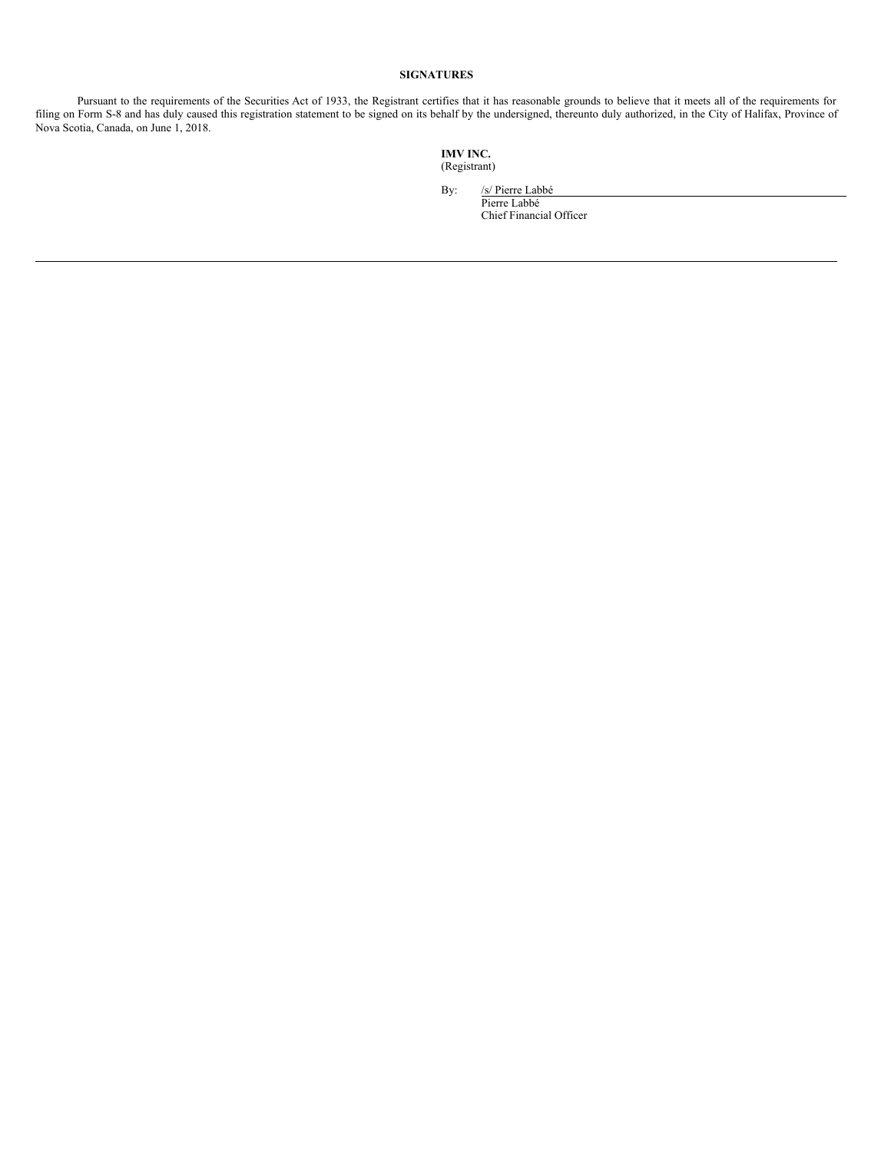# **SIGNATURES**

Pursuant to the requirements of the Securities Act of 1933, the Registrant certifies that it has reasonable grounds to believe that it meets all of the requirements for filing on Form S-8 and has duly caused this registration statement to be signed on its behalf by the undersigned, thereunto duly authorized, in the City of Halifax, Province of Nova Scotia, Canada, on June 1, 2018.

> **IMV INC.** (Registrant)

> > By: /s/ Pierre Labbé Pierre Labbé

Chief Financial Officer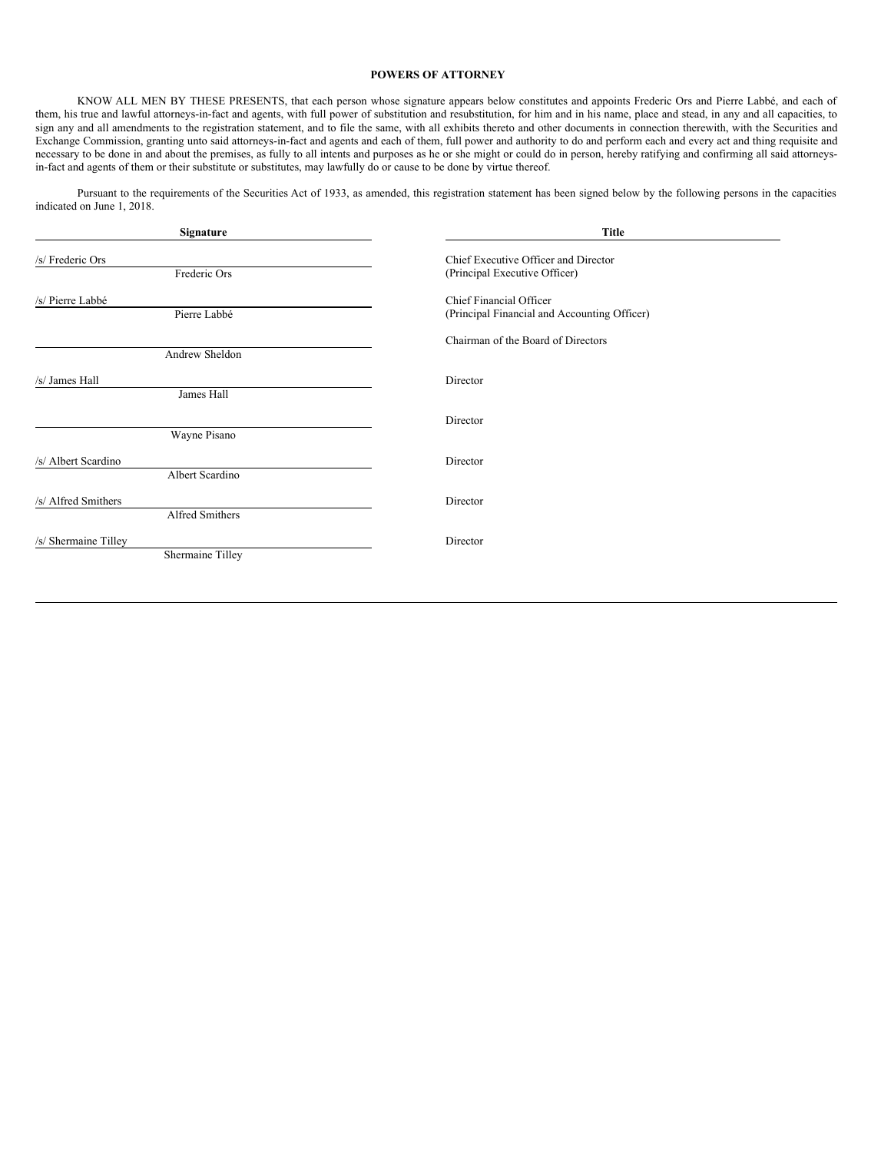# <span id="page-6-0"></span>**POWERS OF ATTORNEY**

KNOW ALL MEN BY THESE PRESENTS, that each person whose signature appears below constitutes and appoints Frederic Ors and Pierre Labbé, and each of them, his true and lawful attorneys-in-fact and agents, with full power of substitution and resubstitution, for him and in his name, place and stead, in any and all capacities, to sign any and all amendments to the registration statement, and to file the same, with all exhibits thereto and other documents in connection therewith, with the Securities and Exchange Commission, granting unto said attorneys-in-fact and agents and each of them, full power and authority to do and perform each and every act and thing requisite and Exchange Commission, granting unto said attorneys necessary to be done in and about the premises, as fully to all intents and purposes as he or she might or could do in person, hereby ratifying and confirming all said attorneysin-fact and agents of them or their substitute or substitutes, may lawfully do or cause to be done by virtue thereof.

Pursuant to the requirements of the Securities Act of 1933, as amended, this registration statement has been signed below by the following persons in the capacities indicated on June 1, 2018.

| Signature                                | <b>Title</b>                                                            |
|------------------------------------------|-------------------------------------------------------------------------|
| /s/ Frederic Ors<br>Frederic Ors         | Chief Executive Officer and Director<br>(Principal Executive Officer)   |
| /s/ Pierre Labbé<br>Pierre Labbé         | Chief Financial Officer<br>(Principal Financial and Accounting Officer) |
|                                          | Chairman of the Board of Directors                                      |
| Andrew Sheldon<br>/s/ James Hall         | Director                                                                |
| James Hall                               | Director                                                                |
| Wayne Pisano                             |                                                                         |
| /s/ Albert Scardino<br>Albert Scardino   | Director                                                                |
| /s/ Alfred Smithers<br>Alfred Smithers   | Director                                                                |
| /s/ Shermaine Tilley<br>Shermaine Tilley | Director                                                                |
|                                          |                                                                         |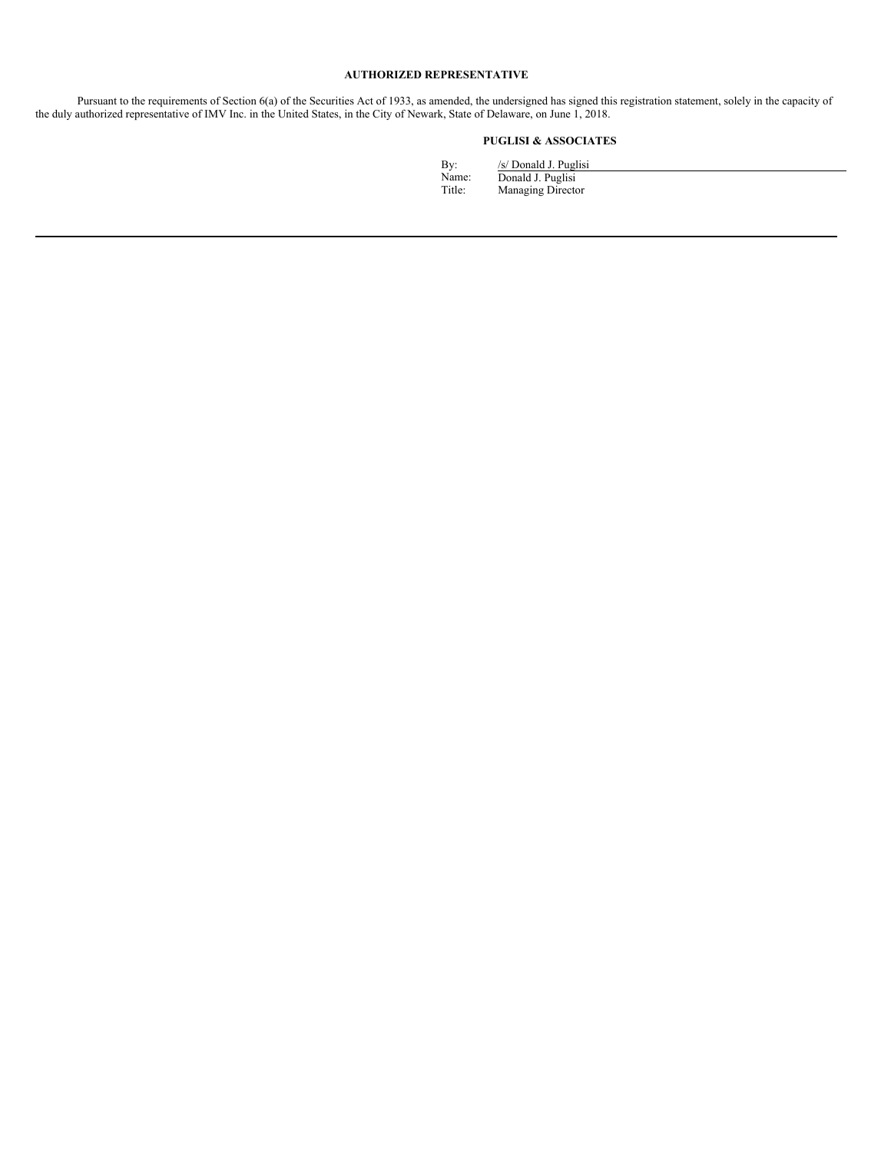# **AUTHORIZED REPRESENTATIVE**

Pursuant to the requirements of Section 6(a) of the Securities Act of 1933, as amended, the undersigned has signed this registration statement, solely in the capacity of the duly authorized representative of IMV Inc. in the United States, in the City of Newark, State of Delaware, on June 1, 2018.

# **PUGLISI & ASSOCIATES**

| Bv:    | /s/ Donald J. Puglisi |
|--------|-----------------------|
| Name:  | Donald J. Puglisi     |
| Title: | Managing Director     |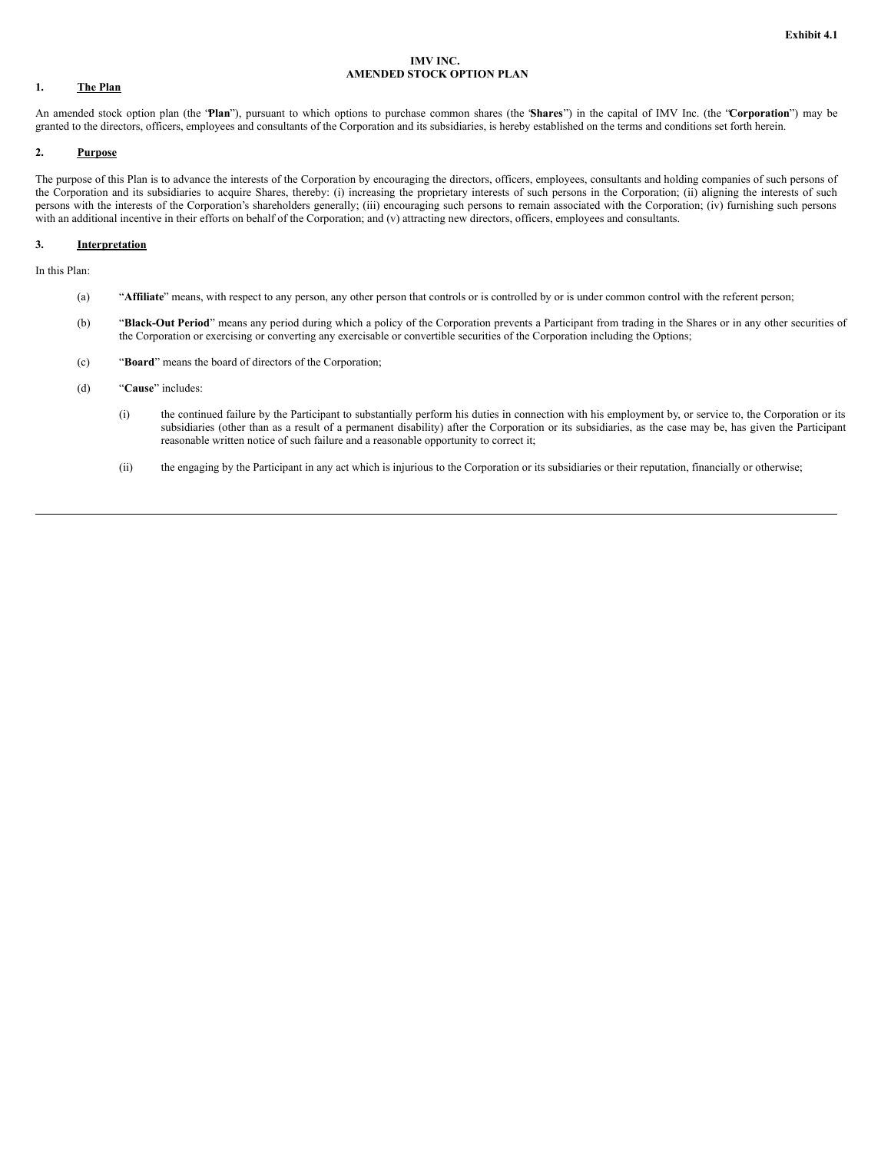## **IMV INC. AMENDED STOCK OPTION PLAN**

# **1. The Plan**

An amended stock option plan (the "**Plan**"), pursuant to which options to purchase common shares (the "**Shares**") in the capital of IMV Inc. (the "**Corporation**") may be granted to the directors, officers, employees and consultants of the Corporation and its subsidiaries, is hereby established on the terms and conditions set forth herein.

# **2. Purpose**

The purpose of this Plan is to advance the interests of the Corporation by encouraging the directors, officers, employees, consultants and holding companies of such persons of the Corporation and its subsidiaries to acquire Shares, thereby: (i) increasing the proprietary interests of such persons in the Corporation; (ii) aligning the interests of such persons with the interests of the Corporation's shareholders generally; (iii) encouraging such persons to remain associated with the Corporation; (iv) furnishing such persons with an additional incentive in their efforts on behalf of the Corporation; and (v) attracting new directors, officers, employees and consultants.

#### **3. Interpretation**

In this Plan:

- (a) "**Affiliate**" means, with respect to any person, any other person that controls or is controlled by or is under common control with the referent person;
- (b) "**Black-Out Period**" means any period during which a policy of the Corporation prevents a Participant from trading in the Shares or in any other securities of the Corporation or exercising or converting any exercisable or convertible securities of the Corporation including the Options;
- (c) "**Board**" means the board of directors of the Corporation;
- (d) "**Cause**" includes:
	- (i) the continued failure by the Participant to substantially perform his duties in connection with his employment by, or service to, the Corporation or its subsidiaries (other than as a result of a permanent disability) after the Corporation or its subsidiaries, as the case may be, has given the Participant reasonable written notice of such failure and a reasonable opportunity to correct it;
	- (ii) the engaging by the Participant in any act which is injurious to the Corporation or its subsidiaries or their reputation, financially or otherwise;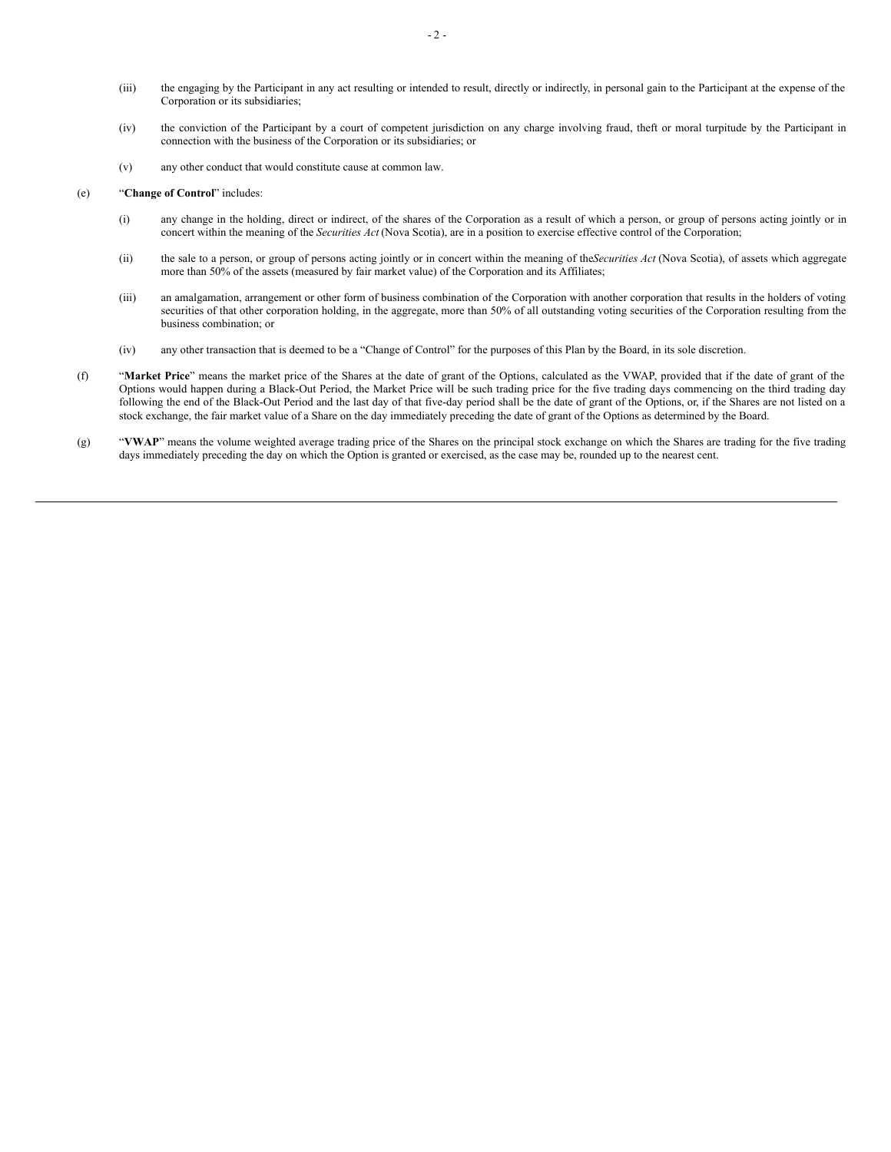- (iii) the engaging by the Participant in any act resulting or intended to result, directly or indirectly, in personal gain to the Participant at the expense of the Corporation or its subsidiaries;
- (iv) the conviction of the Participant by a court of competent jurisdiction on any charge involving fraud, theft or moral turpitude by the Participant in connection with the business of the Corporation or its subsidiaries; or
- (v) any other conduct that would constitute cause at common law.

# (e) "**Change of Control**" includes:

- (i) any change in the holding, direct or indirect, of the shares of the Corporation as a result of which a person, or group of persons acting jointly or in concert within the meaning of the *Securities Act* (Nova Scotia), are in a position to exercise effective control of the Corporation;
- (ii) the sale to a person, or group of persons acting jointly or in concert within the meaning of the*Securities Act* (Nova Scotia), of assets which aggregate more than 50% of the assets (measured by fair market value) of the Corporation and its Affiliates;
- (iii) an amalgamation, arrangement or other form of business combination of the Corporation with another corporation that results in the holders of voting securities of that other corporation holding, in the aggregate, more than 50% of all outstanding voting securities of the Corporation resulting from the business combination; or
- (iv) any other transaction that is deemed to be a "Change of Control" for the purposes of this Plan by the Board, in its sole discretion.
- (f) "**Market Price**" means the market price of the Shares at the date of grant of the Options, calculated as the VWAP, provided that if the date of grant of the Options would happen during a Black-Out Period, the Market Price will be such trading price for the five trading days commencing on the third trading day following the end of the Black-Out Period and the last day of that five-day period shall be the date of grant of the Options, or, if the Shares are not listed on a stock exchange, the fair market value of a Share on the day immediately preceding the date of grant of the Options as determined by the Board.
- (g) "VWAP" means the volume weighted average trading price of the Shares on the principal stock exchange on which the Shares are trading for the five trading days immediately preceding the day on which the Option is granted or exercised, as the case may be, rounded up to the nearest cent.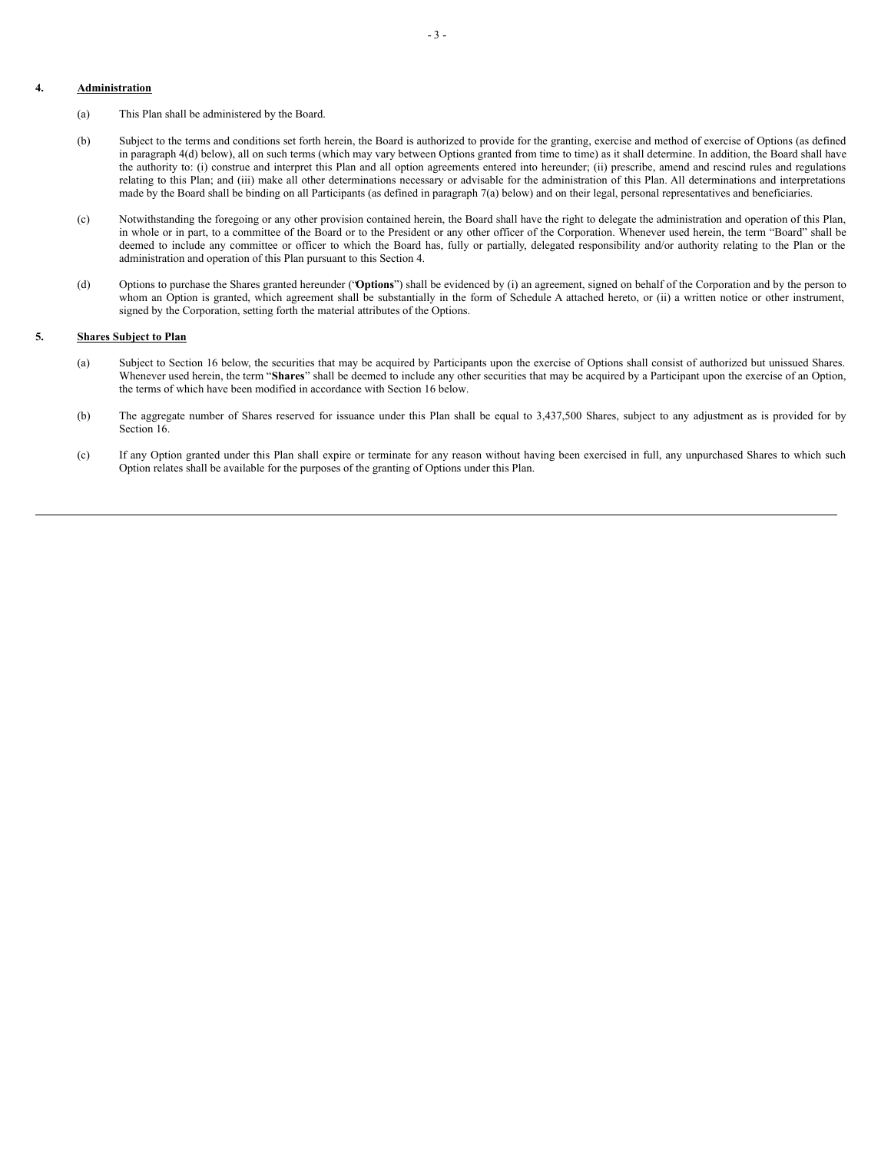# **4. Administration**

- (a) This Plan shall be administered by the Board.
- (b) Subject to the terms and conditions set forth herein, the Board is authorized to provide for the granting, exercise and method of exercise of Options (as defined in paragraph 4(d) below), all on such terms (which may vary between Options granted from time to time) as it shall determine. In addition, the Board shall have the authority to: (i) construe and interpret this Plan and all option agreements entered into hereunder; (ii) prescribe, amend and rescind rules and regulations relating to this Plan; and (iii) make all other determinations necessary or advisable for the administration of this Plan. All determinations and interpretations made by the Board shall be binding on all Participants (as defined in paragraph 7(a) below) and on their legal, personal representatives and beneficiaries.
- (c) Notwithstanding the foregoing or any other provision contained herein, the Board shall have the right to delegate the administration and operation of this Plan, in whole or in part, to a committee of the Board or to the President or any other officer of the Corporation. Whenever used herein, the term "Board" shall be deemed to include any committee or officer to which the Board has, fully or partially, delegated responsibility and/or authority relating to the Plan or the administration and operation of this Plan pursuant to this Section 4.
- (d) Options to purchase the Shares granted hereunder ("**Options**") shall be evidenced by (i) an agreement, signed on behalf of the Corporation and by the person to whom an Option is granted, which agreement shall be substantially in the form of Schedule A attached hereto, or (ii) a written notice or other instrument, signed by the Corporation, setting forth the material attributes of the Options.

#### **5. Shares Subject to Plan**

- (a) Subject to Section 16 below, the securities that may be acquired by Participants upon the exercise of Options shall consist of authorized but unissued Shares. Whenever used herein, the term "**Shares**" shall be deemed to include any other securities that may be acquired by a Participant upon the exercise of an Option, the terms of which have been modified in accordance with Section 16 below.
- (b) The aggregate number of Shares reserved for issuance under this Plan shall be equal to 3,437,500 Shares, subject to any adjustment as is provided for by Section 16.
- (c) If any Option granted under this Plan shall expire or terminate for any reason without having been exercised in full, any unpurchased Shares to which such Option relates shall be available for the purposes of the granting of Options under this Plan.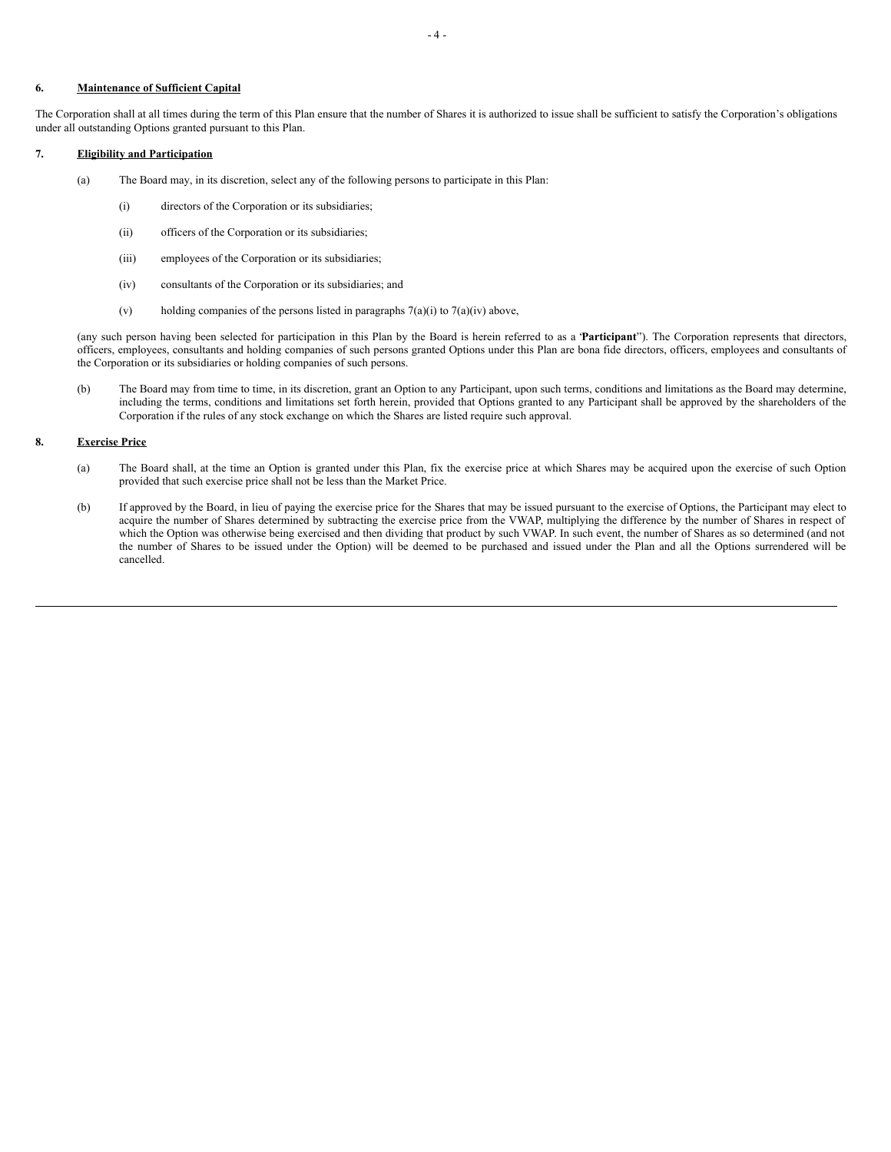# **6. Maintenance of Sufficient Capital**

The Corporation shall at all times during the term of this Plan ensure that the number of Shares it is authorized to issue shall be sufficient to satisfy the Corporation's obligations under all outstanding Options granted pursuant to this Plan.

# **7. Eligibility and Participation**

- (a) The Board may, in its discretion, select any of the following persons to participate in this Plan:
	- (i) directors of the Corporation or its subsidiaries;
	- (ii) officers of the Corporation or its subsidiaries;
	- (iii) employees of the Corporation or its subsidiaries;
	- (iv) consultants of the Corporation or its subsidiaries; and
	- (v) holding companies of the persons listed in paragraphs  $7(a)(i)$  to  $7(a)(iv)$  above,

(any such person having been selected for participation in this Plan by the Board is herein referred to as a "**Participant**"). The Corporation represents that directors, officers, employees, consultants and holding companies of such persons granted Options under this Plan are bona fide directors, officers, employees and consultants of the Corporation or its subsidiaries or holding companies of such persons.

(b) The Board may from time to time, in its discretion, grant an Option to any Participant, upon such terms, conditions and limitations as the Board may determine, including the terms, conditions and limitations set forth herein, provided that Options granted to any Participant shall be approved by the shareholders of the Corporation if the rules of any stock exchange on which the Shares are listed require such approval.

# **8. Exercise Price**

- (a) The Board shall, at the time an Option is granted under this Plan, fix the exercise price at which Shares may be acquired upon the exercise of such Option provided that such exercise price shall not be less than the Market Price.
- (b) If approved by the Board, in lieu of paying the exercise price for the Shares that may be issued pursuant to the exercise of Options, the Participant may elect to acquire the number of Shares determined by subtracting the exercise price from the VWAP, multiplying the difference by the number of Shares in respect of which the Option was otherwise being exercised and then dividing that product by such VWAP. In such event, the number of Shares as so determined (and not the number of Shares to be issued under the Option) will be deemed to be purchased and issued under the Plan and all the Options surrendered will be cancelled.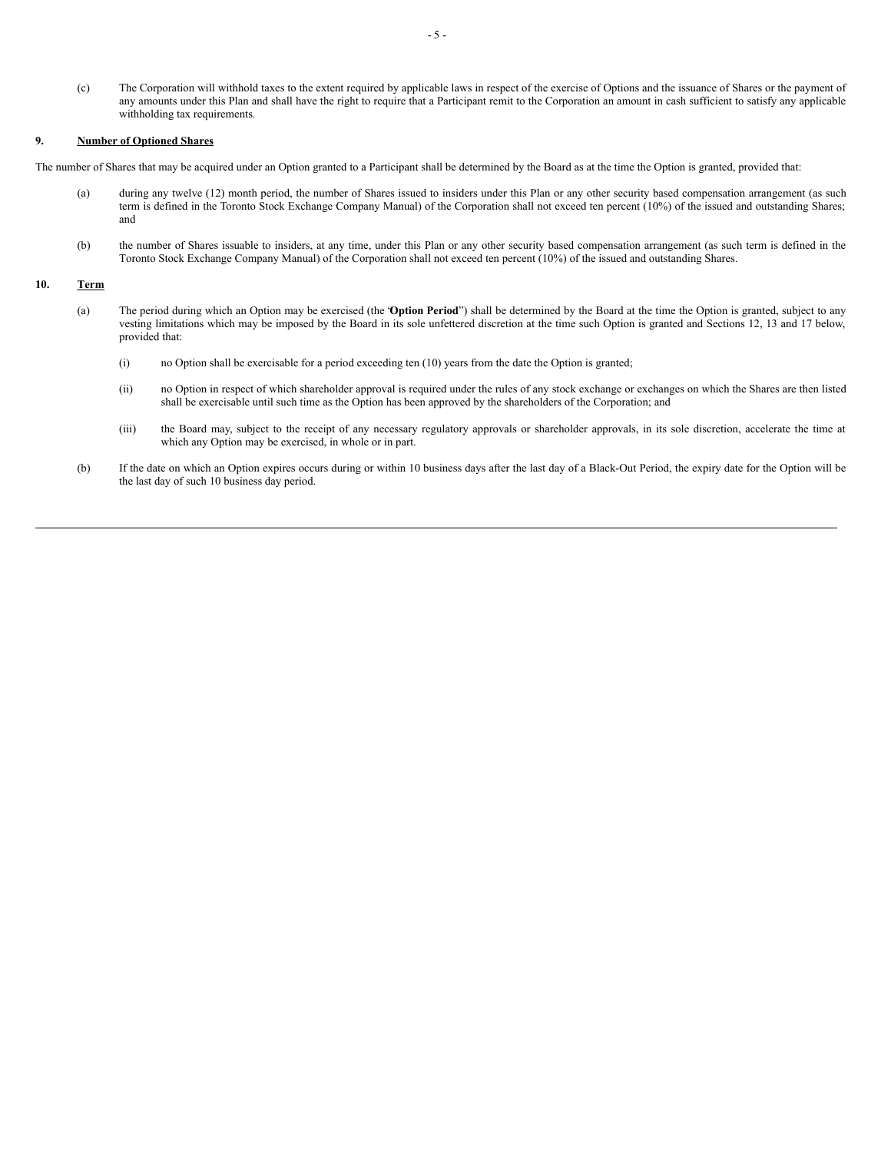(c) The Corporation will withhold taxes to the extent required by applicable laws in respect of the exercise of Options and the issuance of Shares or the payment of any amounts under this Plan and shall have the right to require that a Participant remit to the Corporation an amount in cash sufficient to satisfy any applicable withholding tax requirements.

# **9. Number of Optioned Shares**

The number of Shares that may be acquired under an Option granted to a Participant shall be determined by the Board as at the time the Option is granted, provided that:

- (a) during any twelve (12) month period, the number of Shares issued to insiders under this Plan or any other security based compensation arrangement (as such term is defined in the Toronto Stock Exchange Company Manual) of the Corporation shall not exceed ten percent (10%) of the issued and outstanding Shares; and
- (b) the number of Shares issuable to insiders, at any time, under this Plan or any other security based compensation arrangement (as such term is defined in the Toronto Stock Exchange Company Manual) of the Corporation shall not exceed ten percent (10%) of the issued and outstanding Shares.

#### **10. Term**

- (a) The period during which an Option may be exercised (the "**Option Period**") shall be determined by the Board at the time the Option is granted, subject to any vesting limitations which may be imposed by the Board in its sole unfettered discretion at the time such Option is granted and Sections 12, 13 and 17 below, provided that:
	- (i) no Option shall be exercisable for a period exceeding ten (10) years from the date the Option is granted;
	- (ii) no Option in respect of which shareholder approval is required under the rules of any stock exchange or exchanges on which the Shares are then listed shall be exercisable until such time as the Option has been approved by the shareholders of the Corporation; and
	- (iii) the Board may, subject to the receipt of any necessary regulatory approvals or shareholder approvals, in its sole discretion, accelerate the time at which any Option may be exercised, in whole or in part.
- (b) If the date on which an Option expires occurs during or within 10 business days after the last day of a Black-Out Period, the expiry date for the Option will be the last day of such 10 business day period.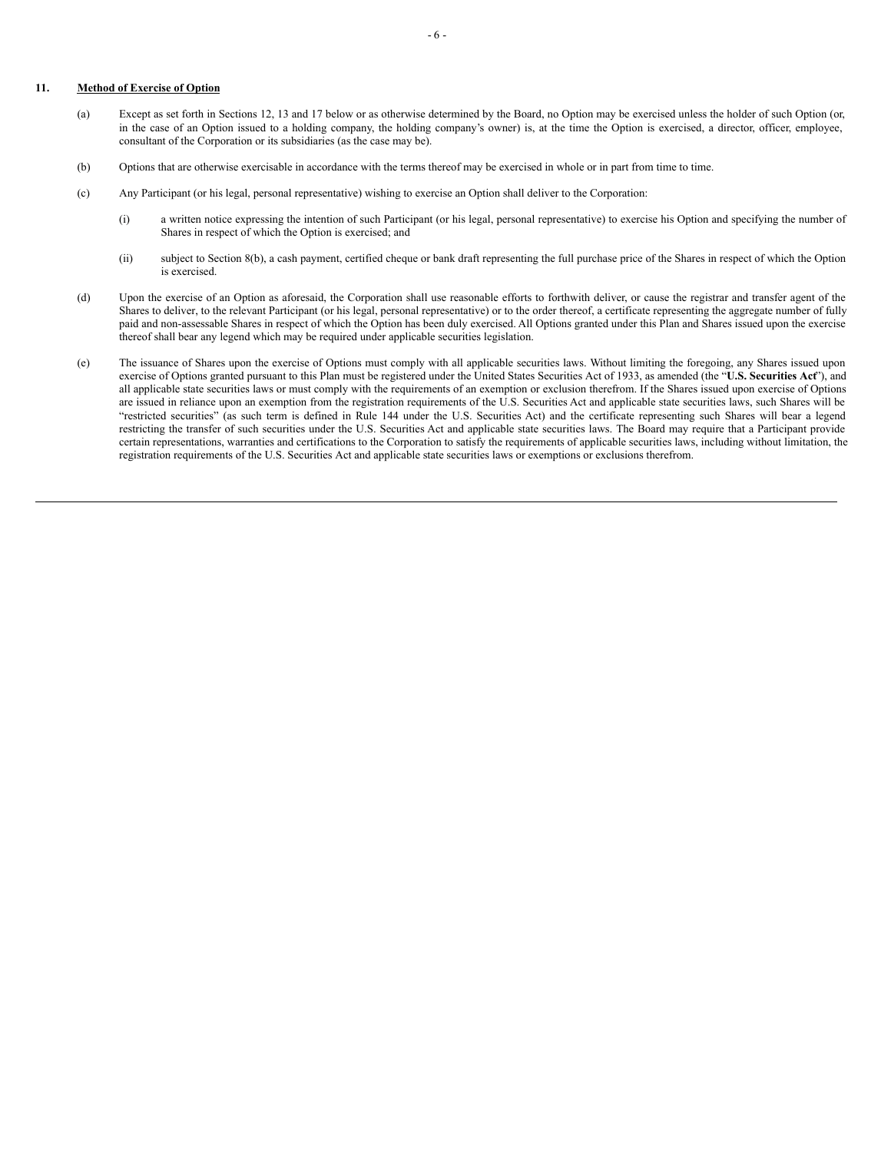# **11. Method of Exercise of Option**

- (a) Except as set forth in Sections 12, 13 and 17 below or as otherwise determined by the Board, no Option may be exercised unless the holder of such Option (or, in the case of an Option issued to a holding company, the holding company's owner) is, at the time the Option is exercised, a director, officer, employee, consultant of the Corporation or its subsidiaries (as the case may be).
- (b) Options that are otherwise exercisable in accordance with the terms thereof may be exercised in whole or in part from time to time.
- (c) Any Participant (or his legal, personal representative) wishing to exercise an Option shall deliver to the Corporation:
	- (i) a written notice expressing the intention of such Participant (or his legal, personal representative) to exercise his Option and specifying the number of Shares in respect of which the Option is exercised; and
	- (ii) subject to Section 8(b), a cash payment, certified cheque or bank draft representing the full purchase price of the Shares in respect of which the Option is exercised.
- (d) Upon the exercise of an Option as aforesaid, the Corporation shall use reasonable efforts to forthwith deliver, or cause the registrar and transfer agent of the Shares to deliver, to the relevant Participant (or his legal, personal representative) or to the order thereof, a certificate representing the aggregate number of fully paid and non-assessable Shares in respect of which the Option has been duly exercised. All Options granted under this Plan and Shares issued upon the exercise thereof shall bear any legend which may be required under applicable securities legislation.
- (e) The issuance of Shares upon the exercise of Options must comply with all applicable securities laws. Without limiting the foregoing, any Shares issued upon exercise of Options granted pursuant to this Plan must be registered under the United States Securities Act of 1933, as amended (the "**U.S. Securities Act**"), and all applicable state securities laws or must comply with the requirements of an exemption or exclusion therefrom. If the Shares issued upon exercise of Options are issued in reliance upon an exemption from the registration requirements of the U.S. Securities Act and applicable state securities laws, such Shares will be "restricted securities" (as such term is defined in Rule 144 under the U.S. Securities Act) and the certificate representing such Shares will bear a legend restricting the transfer of such securities under the U.S. Securities Act and applicable state securities laws. The Board may require that a Participant provide certain representations, warranties and certifications to the Corporation to satisfy the requirements of applicable securities laws, including without limitation, the registration requirements of the U.S. Securities Act and applicable state securities laws or exemptions or exclusions therefrom.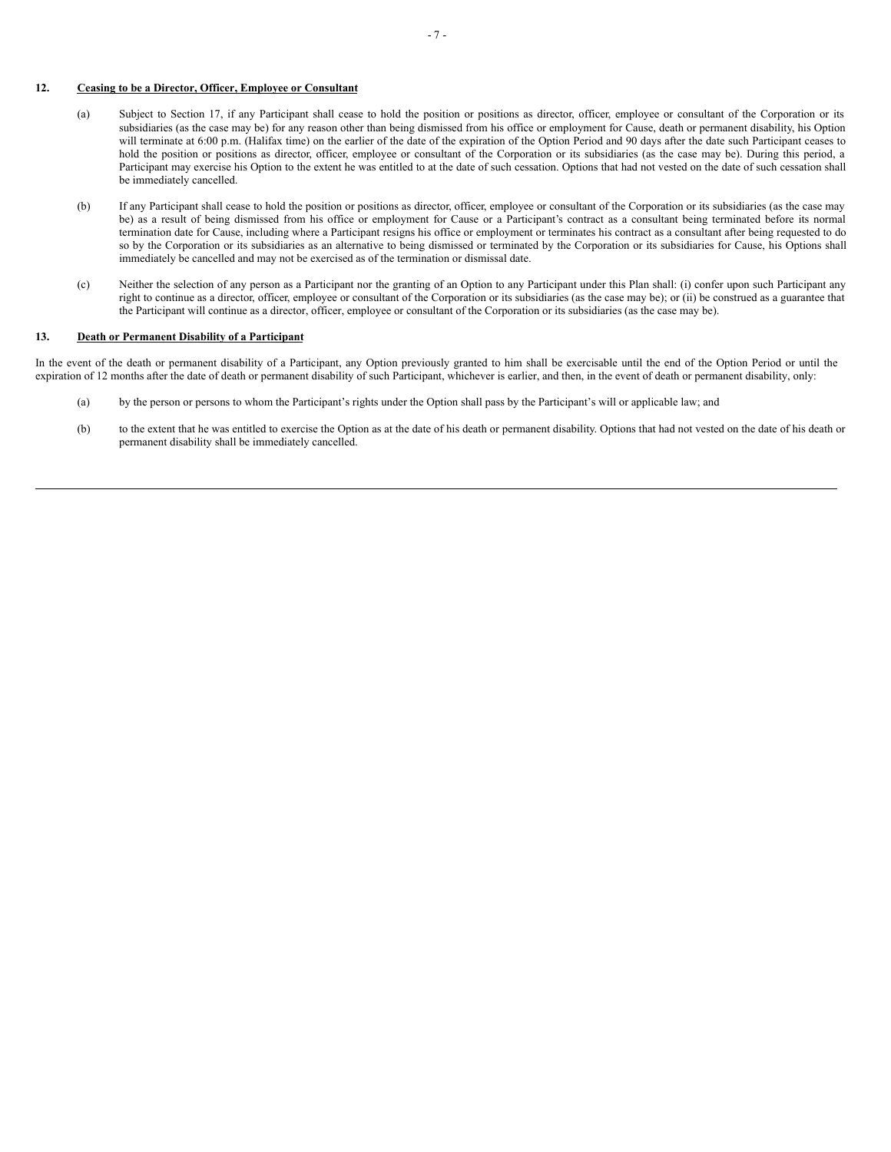# <span id="page-14-0"></span>**12. Ceasing to be a Director, Officer, Employee or Consultant**

- (a) Subject to Section 17, if any Participant shall cease to hold the position or positions as director, officer, employee or consultant of the Corporation or its subsidiaries (as the case may be) for any reason other than being dismissed from his office or employment for Cause, death or permanent disability, his Option will terminate at 6:00 p.m. (Halifax time) on the earlier of the date of the expiration of the Option Period and 90 days after the date such Participant ceases to hold the position or positions as director, officer, employee or consultant of the Corporation or its subsidiaries (as the case may be). During this period, a Participant may exercise his Option to the extent he was entitled to at the date of such cessation. Options that had not vested on the date of such cessation shall be immediately cancelled.
- (b) If any Participant shall cease to hold the position or positions as director, officer, employee or consultant of the Corporation or its subsidiaries (as the case may be) as a result of being dismissed from his office or employment for Cause or a Participant's contract as a consultant being terminated before its normal termination date for Cause, including where a Participant resigns his office or employment or terminates his contract as a consultant after being requested to do so by the Corporation or its subsidiaries as an alternative to being dismissed or terminated by the Corporation or its subsidiaries for Cause, his Options shall immediately be cancelled and may not be exercised as of the termination or dismissal date.
- (c) Neither the selection of any person as a Participant nor the granting of an Option to any Participant under this Plan shall: (i) confer upon such Participant any right to continue as a director, officer, employee or consultant of the Corporation or its subsidiaries (as the case may be); or (ii) be construed as a guarantee that the Participant will continue as a director, officer, employee or consultant of the Corporation or its subsidiaries (as the case may be).

#### **13. Death or Permanent Disability of a Participant**

In the event of the death or permanent disability of a Participant, any Option previously granted to him shall be exercisable until the end of the Option Period or until the expiration of 12 months after the date of death or permanent disability of such Participant, whichever is earlier, and then, in the event of death or permanent disability, only:

- (a) by the person or persons to whom the Participant's rights under the Option shall pass by the Participant's will or applicable law; and
- (b) to the extent that he was entitled to exercise the Option as at the date of his death or permanent disability. Options that had not vested on the date of his death or permanent disability shall be immediately cancelled.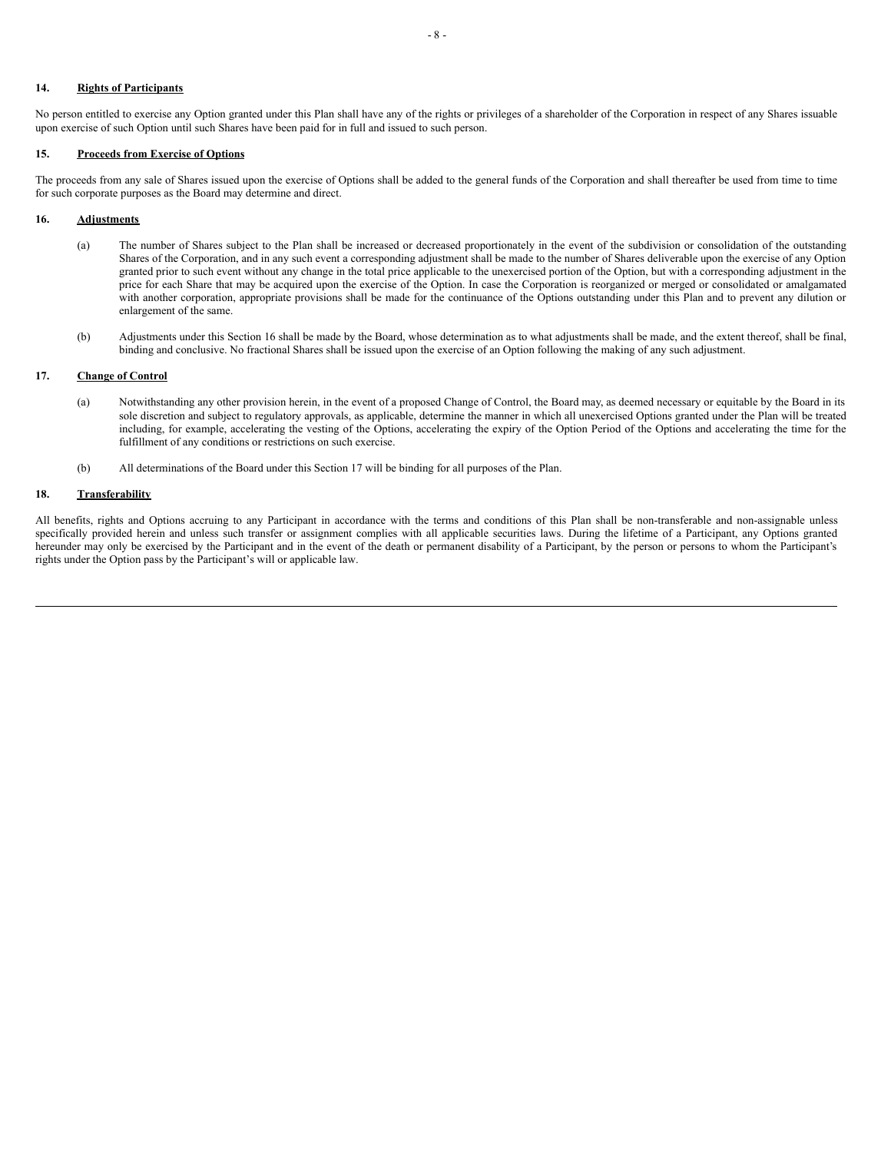# **14. Rights of Participants**

No person entitled to exercise any Option granted under this Plan shall have any of the rights or privileges of a shareholder of the Corporation in respect of any Shares issuable upon exercise of such Option until such Shares have been paid for in full and issued to such person.

#### **15. Proceeds from Exercise of Options**

The proceeds from any sale of Shares issued upon the exercise of Options shall be added to the general funds of the Corporation and shall thereafter be used from time to time for such corporate purposes as the Board may determine and direct.

#### **16. Adjustments**

- (a) The number of Shares subject to the Plan shall be increased or decreased proportionately in the event of the subdivision or consolidation of the outstanding Shares of the Corporation, and in any such event a corresponding adjustment shall be made to the number of Shares deliverable upon the exercise of any Option granted prior to such event without any change in the total price applicable to the unexercised portion of the Option, but with a corresponding adjustment in the price for each Share that may be acquired upon the exercise of the Option. In case the Corporation is reorganized or merged or consolidated or amalgamated with another corporation, appropriate provisions shall be made for the continuance of the Options outstanding under this Plan and to prevent any dilution or enlargement of the same.
- (b) Adjustments under this Section 16 shall be made by the Board, whose determination as to what adjustments shall be made, and the extent thereof, shall be final, binding and conclusive. No fractional Shares shall be issued upon the exercise of an Option following the making of any such adjustment.

# **17. Change of Control**

- (a) Notwithstanding any other provision herein, in the event of a proposed Change of Control, the Board may, as deemed necessary or equitable by the Board in its sole discretion and subject to regulatory approvals, as applicable, determine the manner in which all unexercised Options granted under the Plan will be treated including, for example, accelerating the vesting of the Options, accelerating the expiry of the Option Period of the Options and accelerating the time for the fulfillment of any conditions or restrictions on such exercise.
- (b) All determinations of the Board under this Section 17 will be binding for all purposes of the Plan.

# **18. Transferability**

All benefits, rights and Options accruing to any Participant in accordance with the terms and conditions of this Plan shall be non-transferable and non-assignable unless specifically provided herein and unless such transfer or assignment complies with all applicable securities laws. During the lifetime of a Participant, any Options granted hereunder may only be exercised by the Participant and in the event of the death or permanent disability of a Participant, by the person or persons to whom the Participant's rights under the Option pass by the Participant's will or applicable law.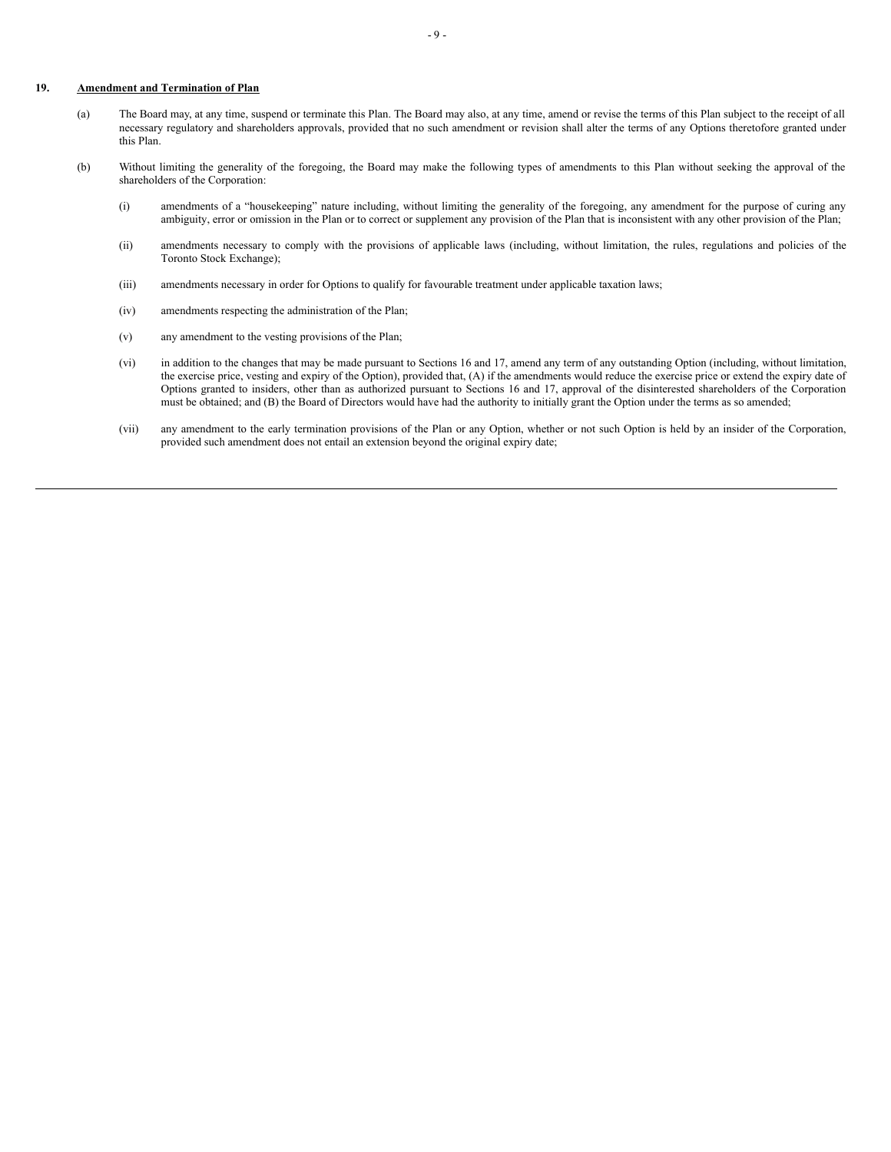#### **19. Amendment and Termination of Plan**

- (a) The Board may, at any time, suspend or terminate this Plan. The Board may also, at any time, amend or revise the terms of this Plan subject to the receipt of all necessary regulatory and shareholders approvals, provided that no such amendment or revision shall alter the terms of any Options theretofore granted under this Plan.
- (b) Without limiting the generality of the foregoing, the Board may make the following types of amendments to this Plan without seeking the approval of the shareholders of the Corporation:
	- (i) amendments of a "housekeeping" nature including, without limiting the generality of the foregoing, any amendment for the purpose of curing any ambiguity, error or omission in the Plan or to correct or supplement any provision of the Plan that is inconsistent with any other provision of the Plan;
	- (ii) amendments necessary to comply with the provisions of applicable laws (including, without limitation, the rules, regulations and policies of the Toronto Stock Exchange);
	- (iii) amendments necessary in order for Options to qualify for favourable treatment under applicable taxation laws;
	- (iv) amendments respecting the administration of the Plan;
	- (v) any amendment to the vesting provisions of the Plan;
	- (vi) in addition to the changes that may be made pursuant to Sections 16 and 17, amend any term of any outstanding Option (including, without limitation, the exercise price, vesting and expiry of the Option), provided that, (A) if the amendments would reduce the exercise price or extend the expiry date of Options granted to insiders, other than as authorized pursuant to Sections 16 and 17, approval of the disinterested shareholders of the Corporation must be obtained; and (B) the Board of Directors would have had the authority to initially grant the Option under the terms as so amended;
	- (vii) any amendment to the early termination provisions of the Plan or any Option, whether or not such Option is held by an insider of the Corporation, provided such amendment does not entail an extension beyond the original expiry date;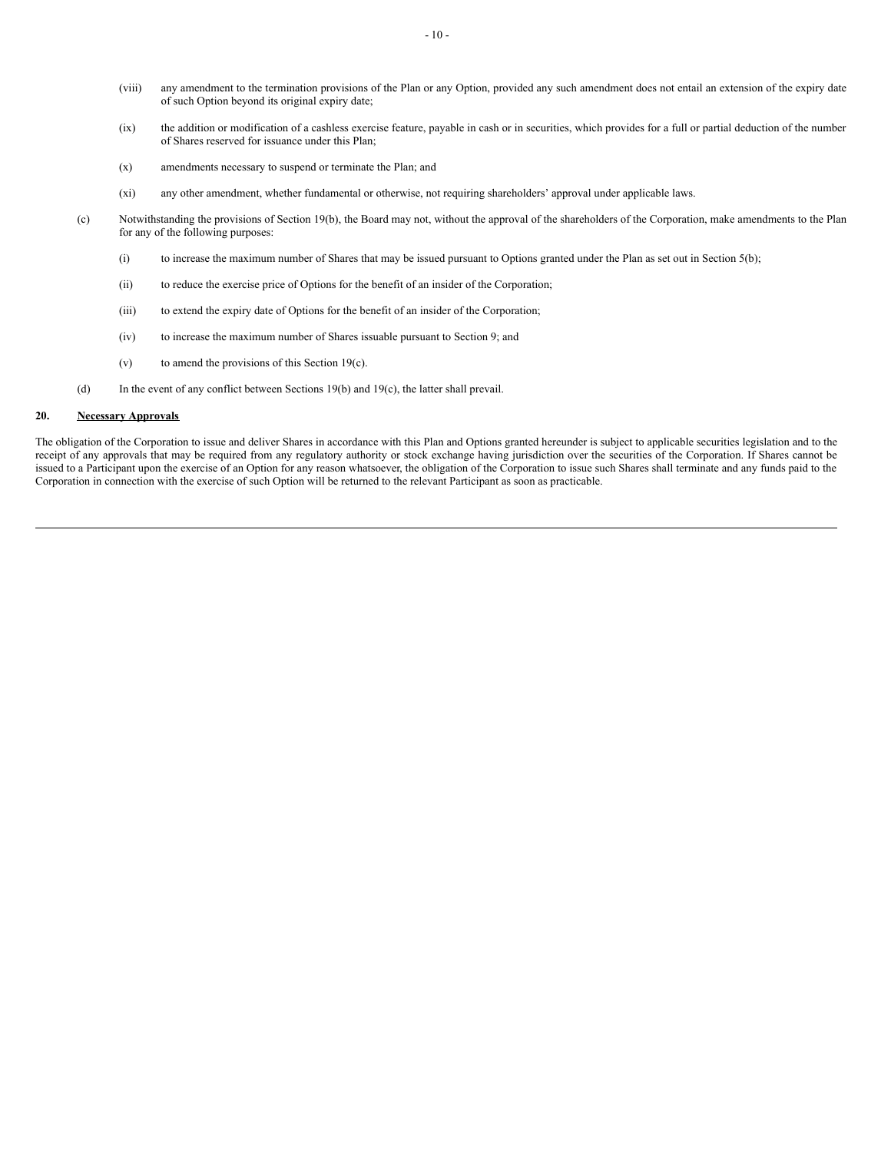- (viii) any amendment to the termination provisions of the Plan or any Option, provided any such amendment does not entail an extension of the expiry date of such Option beyond its original expiry date;
- (ix) the addition or modification of a cashless exercise feature, payable in cash or in securities, which provides for a full or partial deduction of the number of Shares reserved for issuance under this Plan;
- (x) amendments necessary to suspend or terminate the Plan; and
- (xi) any other amendment, whether fundamental or otherwise, not requiring shareholders' approval under applicable laws.
- (c) Notwithstanding the provisions of Section 19(b), the Board may not, without the approval of the shareholders of the Corporation, make amendments to the Plan for any of the following purposes:
	- (i) to increase the maximum number of Shares that may be issued pursuant to Options granted under the Plan as set out in Section 5(b);
	- (ii) to reduce the exercise price of Options for the benefit of an insider of the Corporation;
	- (iii) to extend the expiry date of Options for the benefit of an insider of the Corporation;
	- (iv) to increase the maximum number of Shares issuable pursuant to Section 9; and
	- $(v)$  to amend the provisions of this Section 19 $(c)$ .
- (d) In the event of any conflict between Sections 19(b) and 19(c), the latter shall prevail.

# **20. Necessary Approvals**

The obligation of the Corporation to issue and deliver Shares in accordance with this Plan and Options granted hereunder is subject to applicable securities legislation and to the receipt of any approvals that may be required from any regulatory authority or stock exchange having jurisdiction over the securities of the Corporation. If Shares cannot be issued to a Participant upon the exercise of an Option for any reason whatsoever, the obligation of the Corporation to issue such Shares shall terminate and any funds paid to the Corporation in connection with the exercise of such Option will be returned to the relevant Participant as soon as practicable.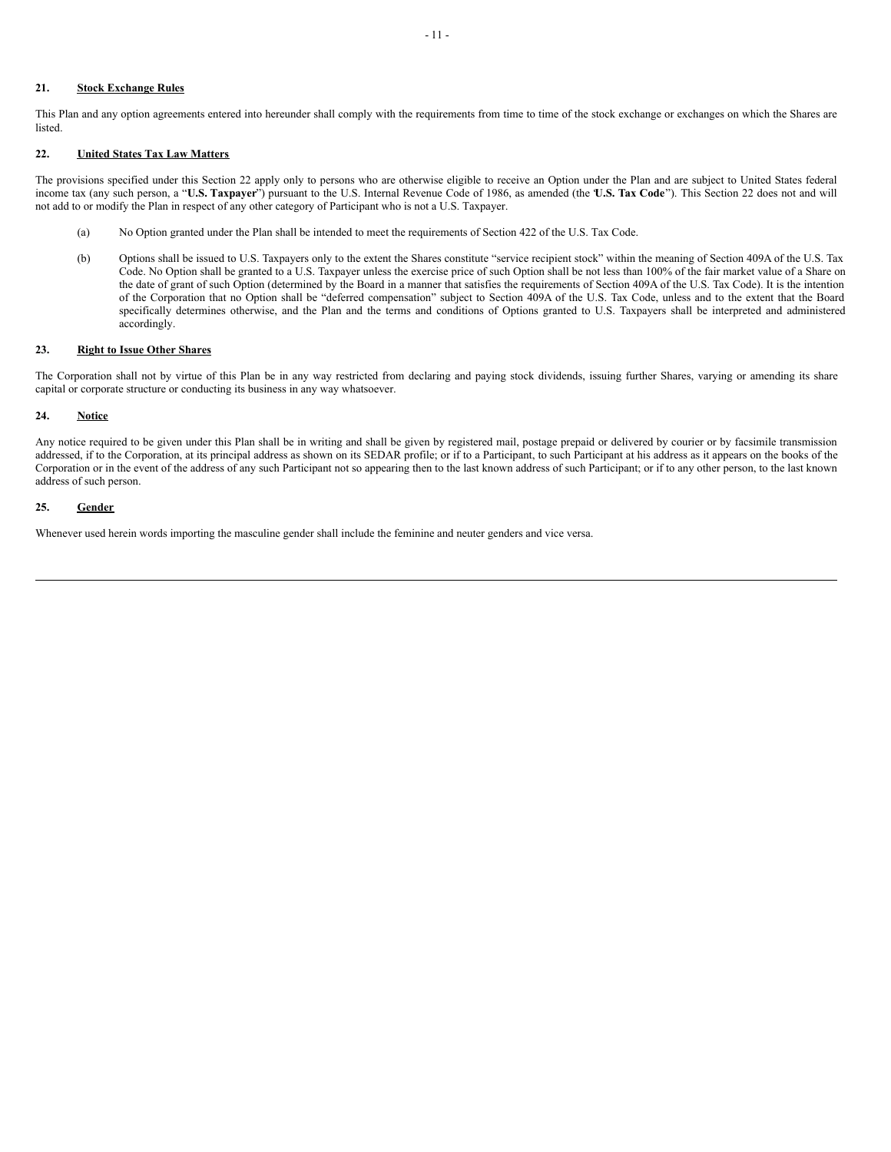# **21. Stock Exchange Rules**

This Plan and any option agreements entered into hereunder shall comply with the requirements from time to time of the stock exchange or exchanges on which the Shares are listed.

#### **22. United States Tax Law Matters**

The provisions specified under this Section 22 apply only to persons who are otherwise eligible to receive an Option under the Plan and are subject to United States federal income tax (any such person, a "**U.S. Taxpayer**") pursuant to the U.S. Internal Revenue Code of 1986, as amended (the "**U.S. Tax Code**"). This Section 22 does not and will not add to or modify the Plan in respect of any other category of Participant who is not a U.S. Taxpayer.

- (a) No Option granted under the Plan shall be intended to meet the requirements of Section 422 of the U.S. Tax Code.
- (b) Options shall be issued to U.S. Taxpayers only to the extent the Shares constitute "service recipient stock" within the meaning of Section 409A of the U.S. Tax Code. No Option shall be granted to a U.S. Taxpayer unless the exercise price of such Option shall be not less than 100% of the fair market value of a Share on the date of grant of such Option (determined by the Board in a manner that satisfies the requirements of Section 409A of the U.S. Tax Code). It is the intention of the Corporation that no Option shall be "deferred compensation" subject to Section 409A of the U.S. Tax Code, unless and to the extent that the Board specifically determines otherwise, and the Plan and the terms and conditions of Options granted to U.S. Taxpayers shall be interpreted and administered accordingly.

#### **23. Right to Issue Other Shares**

The Corporation shall not by virtue of this Plan be in any way restricted from declaring and paying stock dividends, issuing further Shares, varying or amending its share capital or corporate structure or conducting its business in any way whatsoever.

# **24. Notice**

Any notice required to be given under this Plan shall be in writing and shall be given by registered mail, postage prepaid or delivered by courier or by facsimile transmission addressed, if to the Corporation, at its principal address as shown on its SEDAR profile; or if to a Participant, to such Participant at his address as it appears on the books of the Corporation or in the event of the address of any such Participant not so appearing then to the last known address of such Participant; or if to any other person, to the last known address of such person.

#### **25. Gender**

Whenever used herein words importing the masculine gender shall include the feminine and neuter genders and vice versa.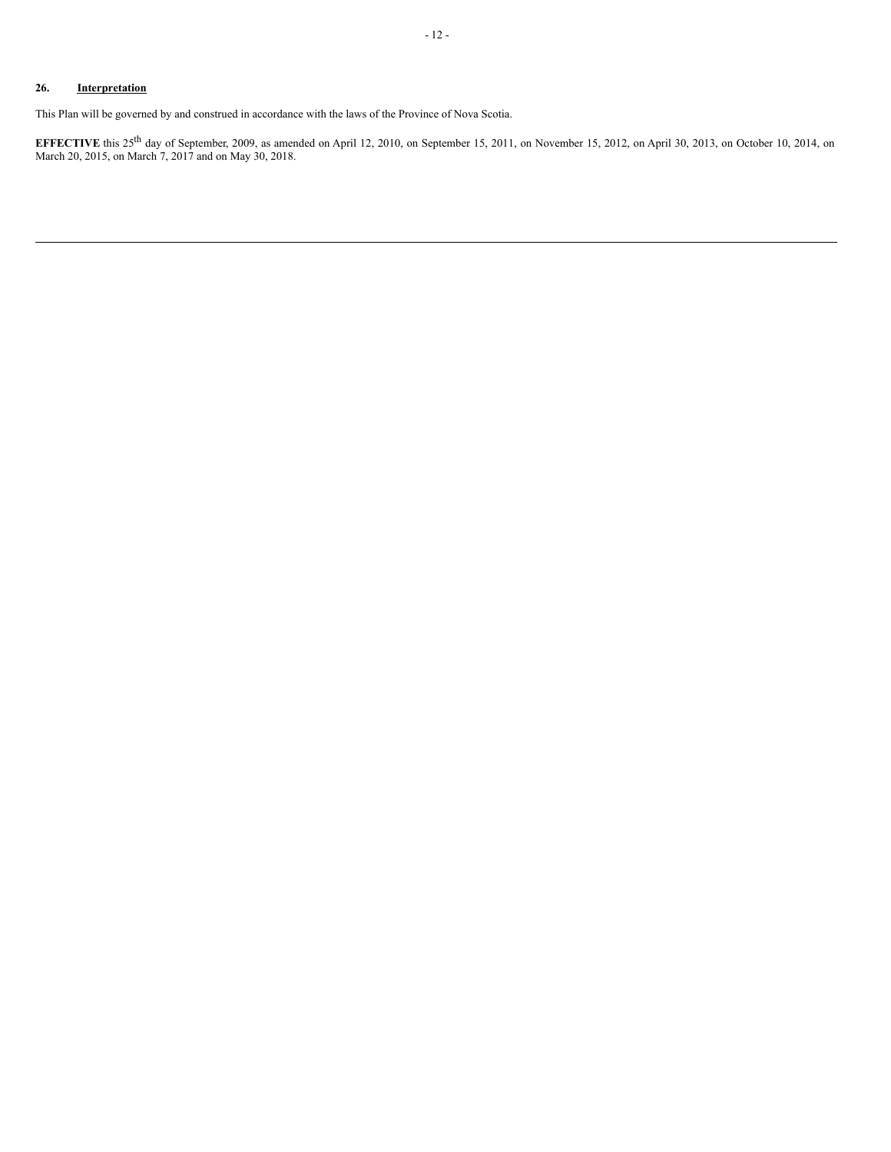This Plan will be governed by and construed in accordance with the laws of the Province of Nova Scotia.

**EFFECTIVE** this  $25^{th}$  day of September, 2009, as amended on April 12, 2010, on September 15, 2011, on November 15, 2012, on April 30, 2013, on October 10, 2014, on March 20, 2015, on March 7, 2017 and on May 30, 2018.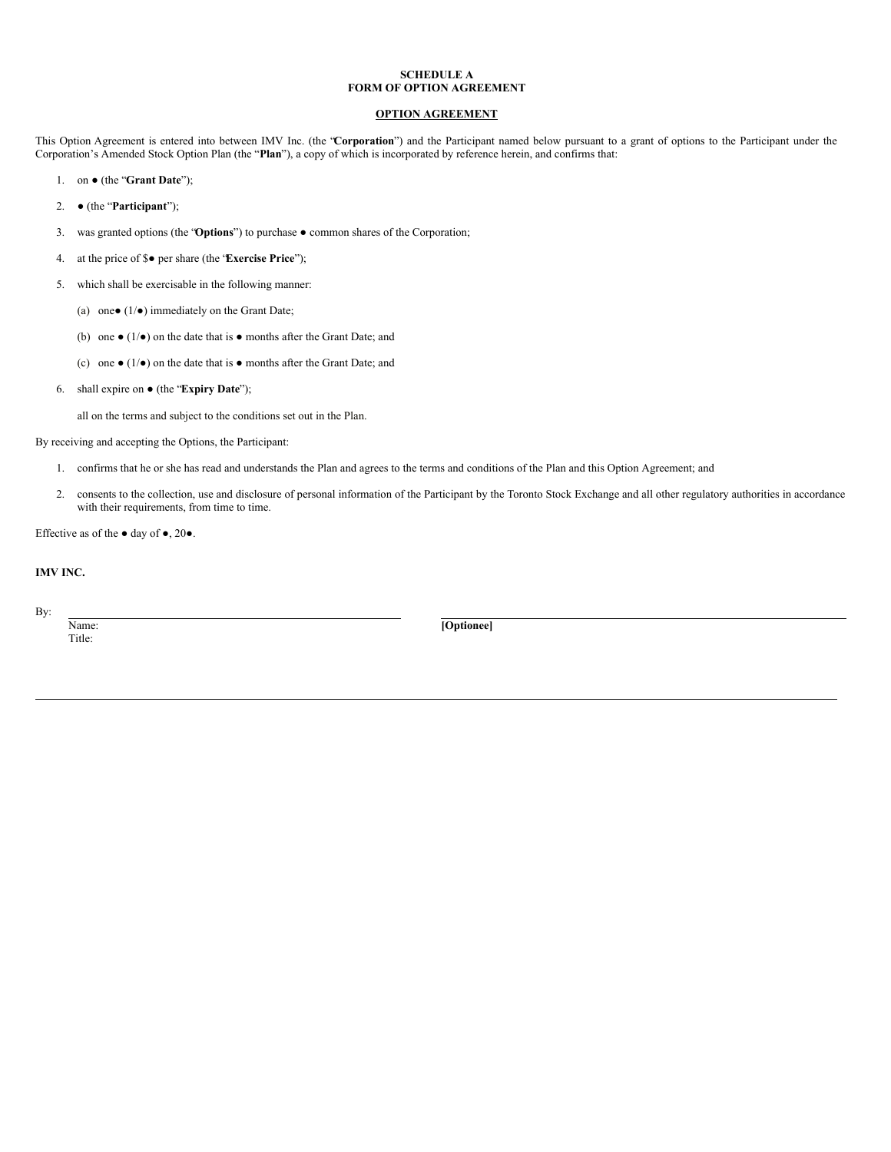# **SCHEDULE A FORM OF OPTION AGREEMENT**

# **OPTION AGREEMENT**

This Option Agreement is entered into between IMV Inc. (the "**Corporation**") and the Participant named below pursuant to a grant of options to the Participant under the Corporation's Amended Stock Option Plan (the "**Plan**"), a copy of which is incorporated by reference herein, and confirms that:

- 1. on (the "**Grant Date**");
- 2. (the "**Participant**");
- 3. was granted options (the "**Options**") to purchase common shares of the Corporation;
- 4. at the price of \$● per share (the "**Exercise Price**");
- 5. which shall be exercisable in the following manner:
	- (a) one $\bullet$  (1/ $\bullet$ ) immediately on the Grant Date;
	- (b) one  $\bullet$  (1/ $\bullet$ ) on the date that is  $\bullet$  months after the Grant Date; and
	- (c) one  $\bullet$  (1/ $\bullet$ ) on the date that is  $\bullet$  months after the Grant Date; and
- 6. shall expire on (the "**Expiry Date**");

all on the terms and subject to the conditions set out in the Plan.

By receiving and accepting the Options, the Participant:

- 1. confirms that he or she has read and understands the Plan and agrees to the terms and conditions of the Plan and this Option Agreement; and
- 2. consents to the collection, use and disclosure of personal information of the Participant by the Toronto Stock Exchange and all other regulatory authorities in accordance with their requirements, from time to time.

Effective as of the  $\bullet$  day of  $\bullet$ , 20 $\bullet$ .

# **IMV INC.**

By:

Title:

Name: **[Optionee]**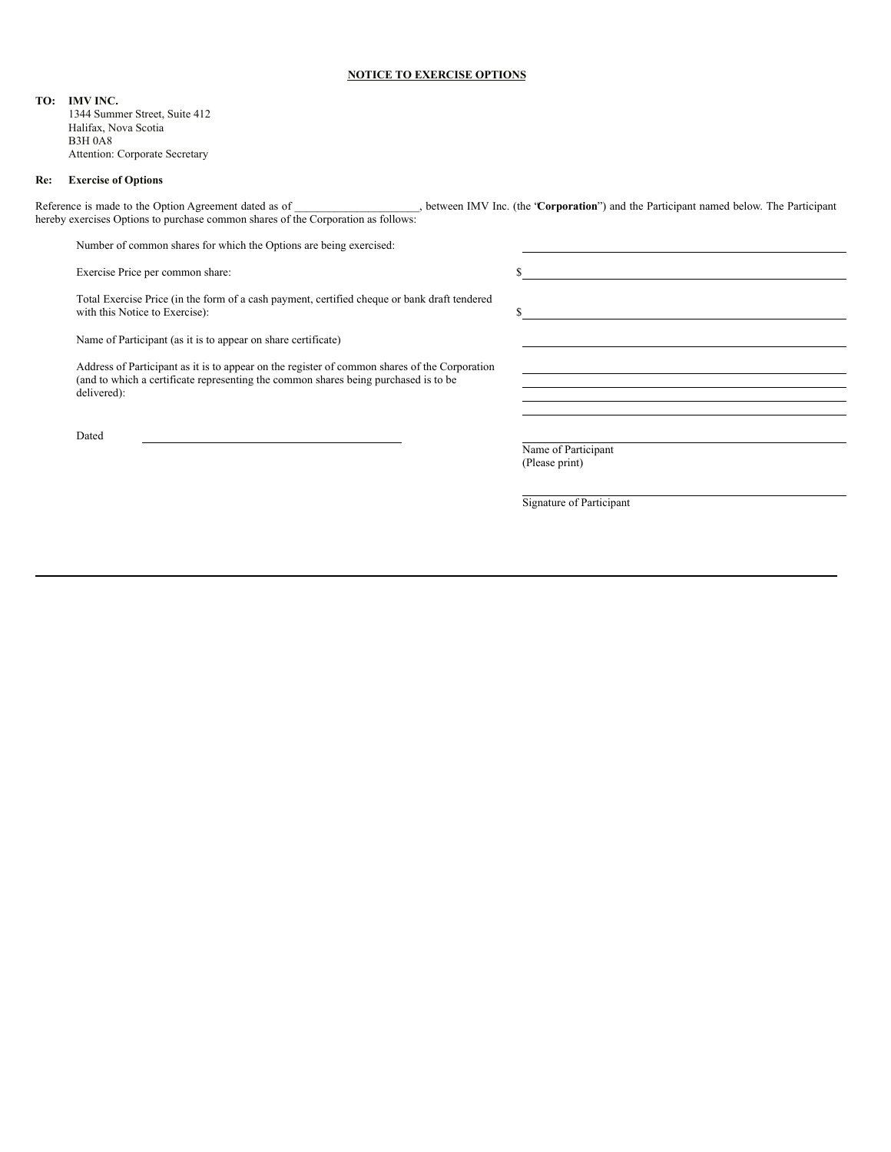#### **NOTICE TO EXERCISE OPTIONS**

**TO: IMV INC.**

1344 Summer Street, Suite 412 Halifax, Nova Scotia B3H 0A8 Attention: Corporate Secretary

#### **Re: Exercise of Options**

Reference is made to the Option Agreement dated as of \_\_\_\_\_\_\_\_\_\_\_\_\_\_\_\_\_\_\_\_\_\_, between IMV Inc. (the "**Corporation**") and the Participant named below. The Participant hereby exercises Options to purchase common shares of the Corporation as follows:

Number of common shares for which the Options are being exercised:

Exercise Price per common share:  $\$ 

Total Exercise Price (in the form of a cash payment, certified cheque or bank draft tendered with this Notice to Exercise):  $\qquad$  \$

Name of Participant (as it is to appear on share certificate)

Address of Participant as it is to appear on the register of common shares of the Corporation (and to which a certificate representing the common shares being purchased is to be delivered):

Dated

Name of Participant (Please print)

Signature of Participant

<u> 1980 - Johann Barn, mars eta bainar eta baina eta baina eta baina eta baina eta baina eta baina eta baina e</u>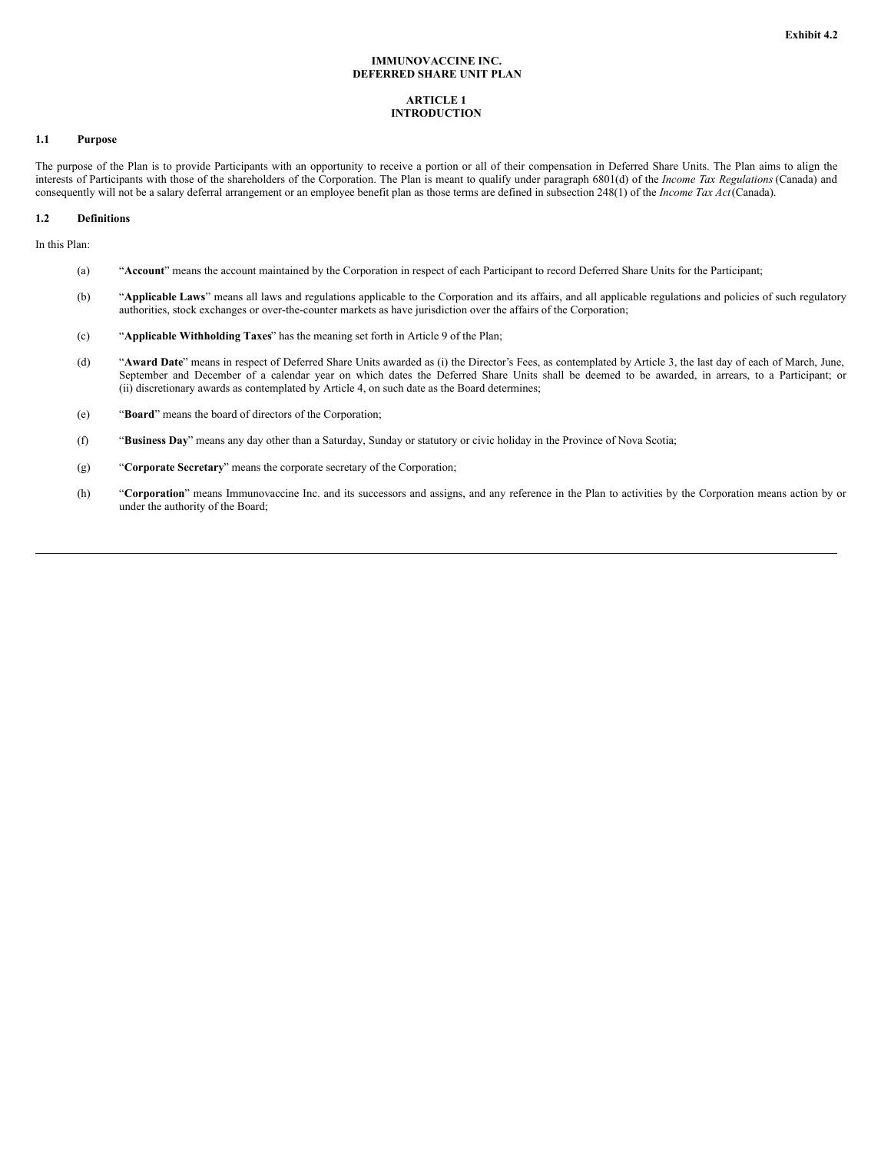#### **IMMUNOVACCINE INC. DEFERRED SHARE UNIT PLAN**

#### **ARTICLE 1 INTRODUCTION**

#### **1.1 Purpose**

The purpose of the Plan is to provide Participants with an opportunity to receive a portion or all of their compensation in Deferred Share Units. The Plan aims to align the interests of Participants with those of the shareholders of the Corporation. The Plan is meant to qualify under paragraph 6801(d) of the *Income Tax Regulations* (Canada) and consequently will not be a salary deferral arrangement or an employee benefit plan as those terms are defined in subsection 248(1) of the *Income Tax Act*(Canada).

#### **1.2 Definitions**

In this Plan:

- (a) "**Account**" means the account maintained by the Corporation in respect of each Participant to record Deferred Share Units for the Participant;
- (b) "**Applicable Laws**" means all laws and regulations applicable to the Corporation and its affairs, and all applicable regulations and policies of such regulatory authorities, stock exchanges or over-the-counter markets as have jurisdiction over the affairs of the Corporation;
- (c) "**Applicable Withholding Taxes**" has the meaning set forth in Article 9 of the Plan;
- (d) "**Award Date**" means in respect of Deferred Share Units awarded as (i) the Director's Fees, as contemplated by Article 3, the last day of each of March, June, September and December of a calendar year on which dates the Deferred Share Units shall be deemed to be awarded, in arrears, to a Participant; or (ii) discretionary awards as contemplated by Article 4, on such date as the Board determines;
- (e) "**Board**" means the board of directors of the Corporation;
- (f) "**Business Day**" means any day other than a Saturday, Sunday or statutory or civic holiday in the Province of Nova Scotia;
- (g) "**Corporate Secretary**" means the corporate secretary of the Corporation;
- (h) "**Corporation**" means Immunovaccine Inc. and its successors and assigns, and any reference in the Plan to activities by the Corporation means action by or under the authority of the Board;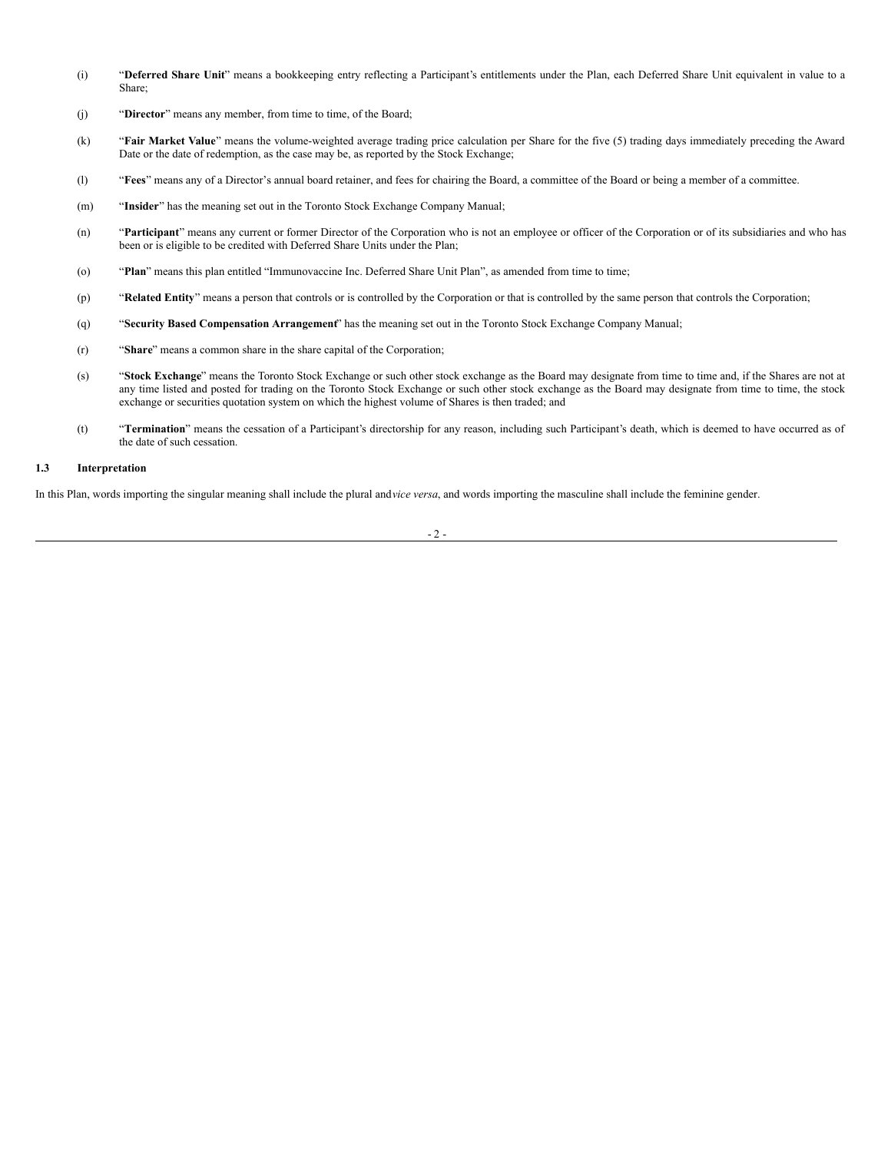- (i) "**Deferred Share Unit**" means a bookkeeping entry reflecting a Participant's entitlements under the Plan, each Deferred Share Unit equivalent in value to a Share;
- (j) "**Director**" means any member, from time to time, of the Board;
- (k) "**Fair Market Value**" means the volume-weighted average trading price calculation per Share for the five (5) trading days immediately preceding the Award Date or the date of redemption, as the case may be, as reported by the Stock Exchange;
- (l) "**Fees**" means any of a Director's annual board retainer, and fees for chairing the Board, a committee of the Board or being a member of a committee.
- (m) "**Insider**" has the meaning set out in the Toronto Stock Exchange Company Manual;
- (n) "**Participant**" means any current or former Director of the Corporation who is not an employee or officer of the Corporation or of its subsidiaries and who has been or is eligible to be credited with Deferred Share Units under the Plan;
- (o) "**Plan**" means this plan entitled "Immunovaccine Inc. Deferred Share Unit Plan", as amended from time to time;
- (p) "**Related Entity**" means a person that controls or is controlled by the Corporation or that is controlled by the same person that controls the Corporation;
- (q) "**Security Based Compensation Arrangement**" has the meaning set out in the Toronto Stock Exchange Company Manual;
- (r) "**Share**" means a common share in the share capital of the Corporation;
- (s) "**Stock Exchange**" means the Toronto Stock Exchange or such other stock exchange as the Board may designate from time to time and, if the Shares are not at any time listed and posted for trading on the Toronto Stock Exchange or such other stock exchange as the Board may designate from time to time, the stock exchange or securities quotation system on which the highest volume of Shares is then traded; and
- (t) "**Termination**" means the cessation of a Participant's directorship for any reason, including such Participant's death, which is deemed to have occurred as of the date of such cessation.

#### **1.3 Interpretation**

In this Plan, words importing the singular meaning shall include the plural and*vice versa*, and words importing the masculine shall include the feminine gender.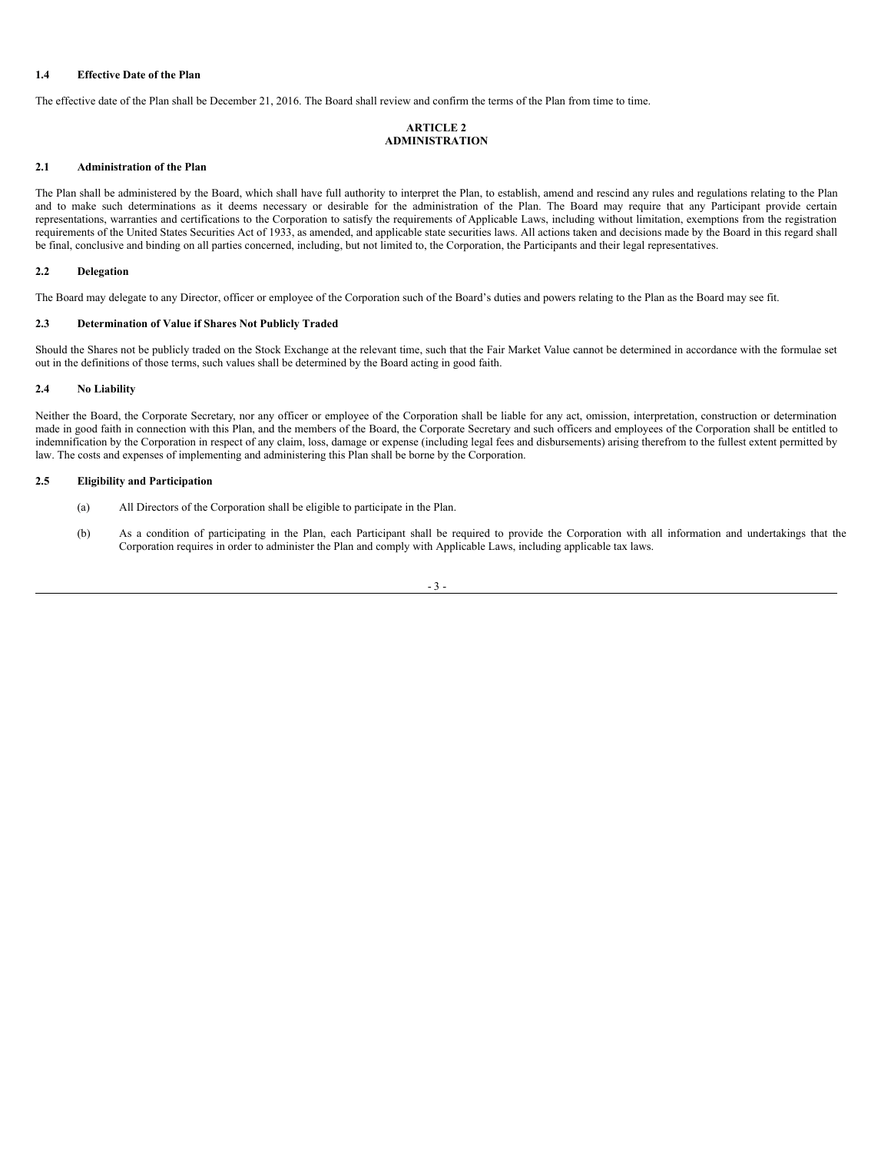# **1.4 Effective Date of the Plan**

The effective date of the Plan shall be December 21, 2016. The Board shall review and confirm the terms of the Plan from time to time.

# **ARTICLE 2 ADMINISTRATION**

# **2.1 Administration of the Plan**

The Plan shall be administered by the Board, which shall have full authority to interpret the Plan, to establish, amend and rescind any rules and regulations relating to the Plan and to make such determinations as it deems necessary or desirable for the administration of the Plan. The Board may require that any Participant provide certain representations, warranties and certifications to the Corporation to satisfy the requirements of Applicable Laws, including without limitation, exemptions from the registration requirements of the United States Securities Act of 1933, as amended, and applicable state securities laws. All actions taken and decisions made by the Board in this regard shall be final, conclusive and binding on all parties concerned, including, but not limited to, the Corporation, the Participants and their legal representatives.

# **2.2 Delegation**

The Board may delegate to any Director, officer or employee of the Corporation such of the Board's duties and powers relating to the Plan as the Board may see fit.

#### **2.3 Determination of Value if Shares Not Publicly Traded**

Should the Shares not be publicly traded on the Stock Exchange at the relevant time, such that the Fair Market Value cannot be determined in accordance with the formulae set out in the definitions of those terms, such values shall be determined by the Board acting in good faith.

#### **2.4 No Liability**

Neither the Board, the Corporate Secretary, nor any officer or employee of the Corporation shall be liable for any act, omission, interpretation, construction or determination made in good faith in connection with this Plan, and the members of the Board, the Corporate Secretary and such officers and employees of the Corporation shall be entitled to indemnification by the Corporation in respect of any claim, loss, damage or expense (including legal fees and disbursements) arising therefrom to the fullest extent permitted by law. The costs and expenses of implementing and administering this Plan shall be borne by the Corporation.

#### **2.5 Eligibility and Participation**

- (a) All Directors of the Corporation shall be eligible to participate in the Plan.
- (b) As a condition of participating in the Plan, each Participant shall be required to provide the Corporation with all information and undertakings that the Corporation requires in order to administer the Plan and comply with Applicable Laws, including applicable tax laws.

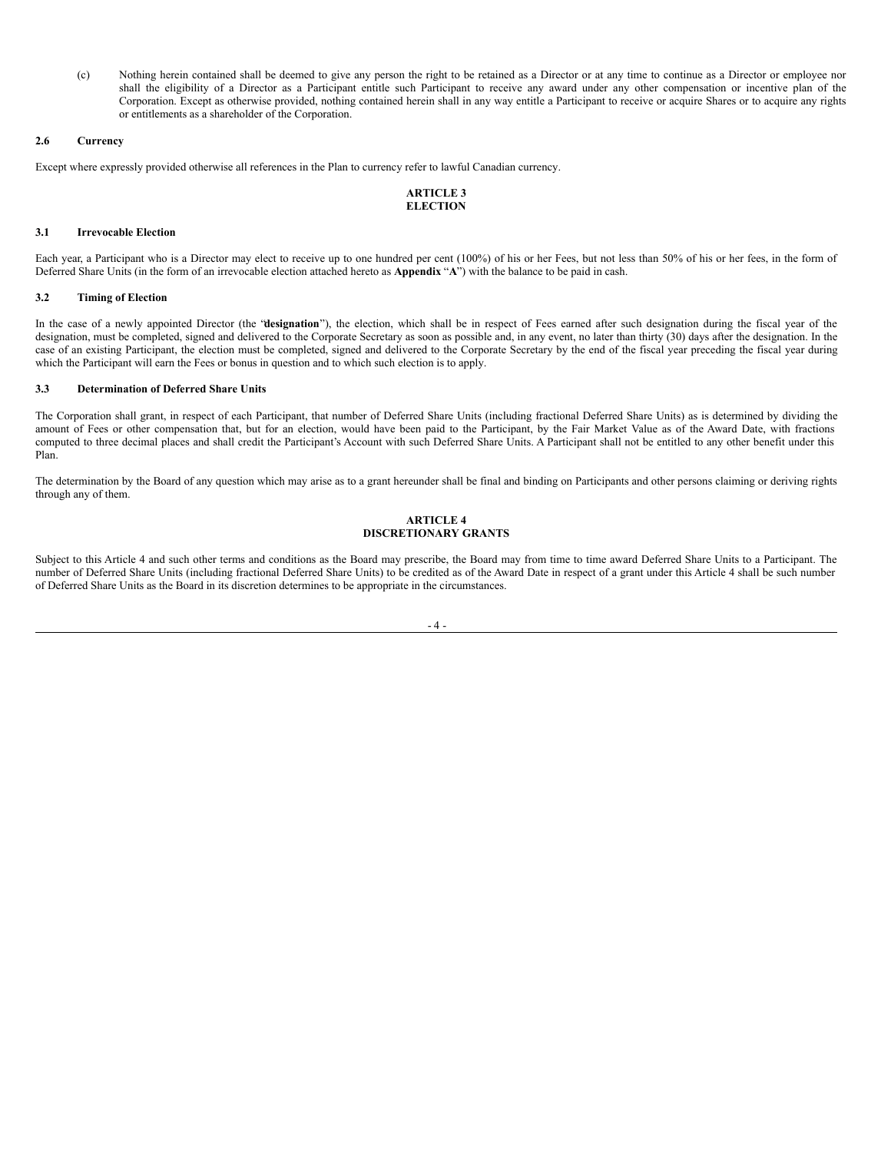(c) Nothing herein contained shall be deemed to give any person the right to be retained as a Director or at any time to continue as a Director or employee nor shall the eligibility of a Director as a Participant entitle such Participant to receive any award under any other compensation or incentive plan of the Corporation. Except as otherwise provided, nothing contained herein shall in any way entitle a Participant to receive or acquire Shares or to acquire any rights or entitlements as a shareholder of the Corporation.

## **2.6 Currency**

Except where expressly provided otherwise all references in the Plan to currency refer to lawful Canadian currency.

# **ARTICLE 3 ELECTION**

# **3.1 Irrevocable Election**

Each year, a Participant who is a Director may elect to receive up to one hundred per cent (100%) of his or her Fees, but not less than 50% of his or her fees, in the form of Deferred Share Units (in the form of an irrevocable election attached hereto as **Appendix** "**A**") with the balance to be paid in cash.

#### **3.2 Timing of Election**

In the case of a newly appointed Director (the "**designation**"), the election, which shall be in respect of Fees earned after such designation during the fiscal year of the designation, must be completed, signed and delivered to the Corporate Secretary as soon as possible and, in any event, no later than thirty (30) days after the designation. In the case of an existing Participant, the election must be completed, signed and delivered to the Corporate Secretary by the end of the fiscal year preceding the fiscal year during which the Participant will earn the Fees or bonus in question and to which such election is to apply.

#### **3.3 Determination of Deferred Share Units**

The Corporation shall grant, in respect of each Participant, that number of Deferred Share Units (including fractional Deferred Share Units) as is determined by dividing the amount of Fees or other compensation that, but for an election, would have been paid to the Participant, by the Fair Market Value as of the Award Date, with fractions computed to three decimal places and shall credit the Participant's Account with such Deferred Share Units. A Participant shall not be entitled to any other benefit under this Plan.

The determination by the Board of any question which may arise as to a grant hereunder shall be final and binding on Participants and other persons claiming or deriving rights through any of them.

# **ARTICLE 4 DISCRETIONARY GRANTS**

Subject to this Article 4 and such other terms and conditions as the Board may prescribe, the Board may from time to time award Deferred Share Units to a Participant. The number of Deferred Share Units (including fractional Deferred Share Units) to be credited as of the Award Date in respect of a grant under this Article 4 shall be such number of Deferred Share Units as the Board in its discretion determines to be appropriate in the circumstances.

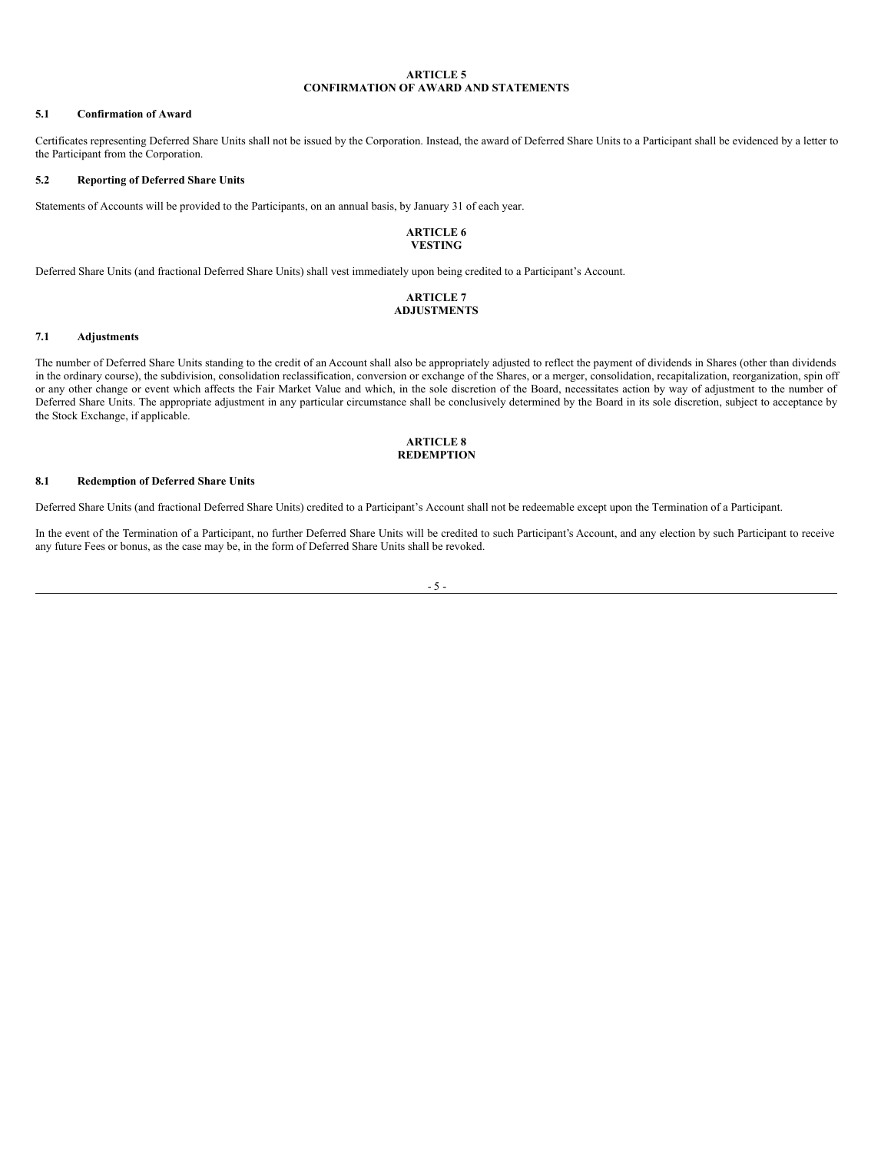# **ARTICLE 5 CONFIRMATION OF AWARD AND STATEMENTS**

#### **5.1 Confirmation of Award**

Certificates representing Deferred Share Units shall not be issued by the Corporation. Instead, the award of Deferred Share Units to a Participant shall be evidenced by a letter to the Participant from the Corporation.

#### **5.2 Reporting of Deferred Share Units**

Statements of Accounts will be provided to the Participants, on an annual basis, by January 31 of each year.

# **ARTICLE 6 VESTING**

Deferred Share Units (and fractional Deferred Share Units) shall vest immediately upon being credited to a Participant's Account.

#### **ARTICLE 7 ADJUSTMENTS**

#### **7.1 Adjustments**

The number of Deferred Share Units standing to the credit of an Account shall also be appropriately adjusted to reflect the payment of dividends in Shares (other than dividends in the ordinary course), the subdivision, consolidation reclassification, conversion or exchange of the Shares, or a merger, consolidation, recapitalization, reorganization, spin off or any other change or event which affects the Fair Market Value and which, in the sole discretion of the Board, necessitates action by way of adjustment to the number of Deferred Share Units. The appropriate adjustment in any particular circumstance shall be conclusively determined by the Board in its sole discretion, subject to acceptance by the Stock Exchange, if applicable.

#### **ARTICLE 8 REDEMPTION**

#### **8.1 Redemption of Deferred Share Units**

Deferred Share Units (and fractional Deferred Share Units) credited to a Participant's Account shall not be redeemable except upon the Termination of a Participant.

In the event of the Termination of a Participant, no further Deferred Share Units will be credited to such Participant's Account, and any election by such Participant to receive any future Fees or bonus, as the case may be, in the form of Deferred Share Units shall be revoked.

- 5 -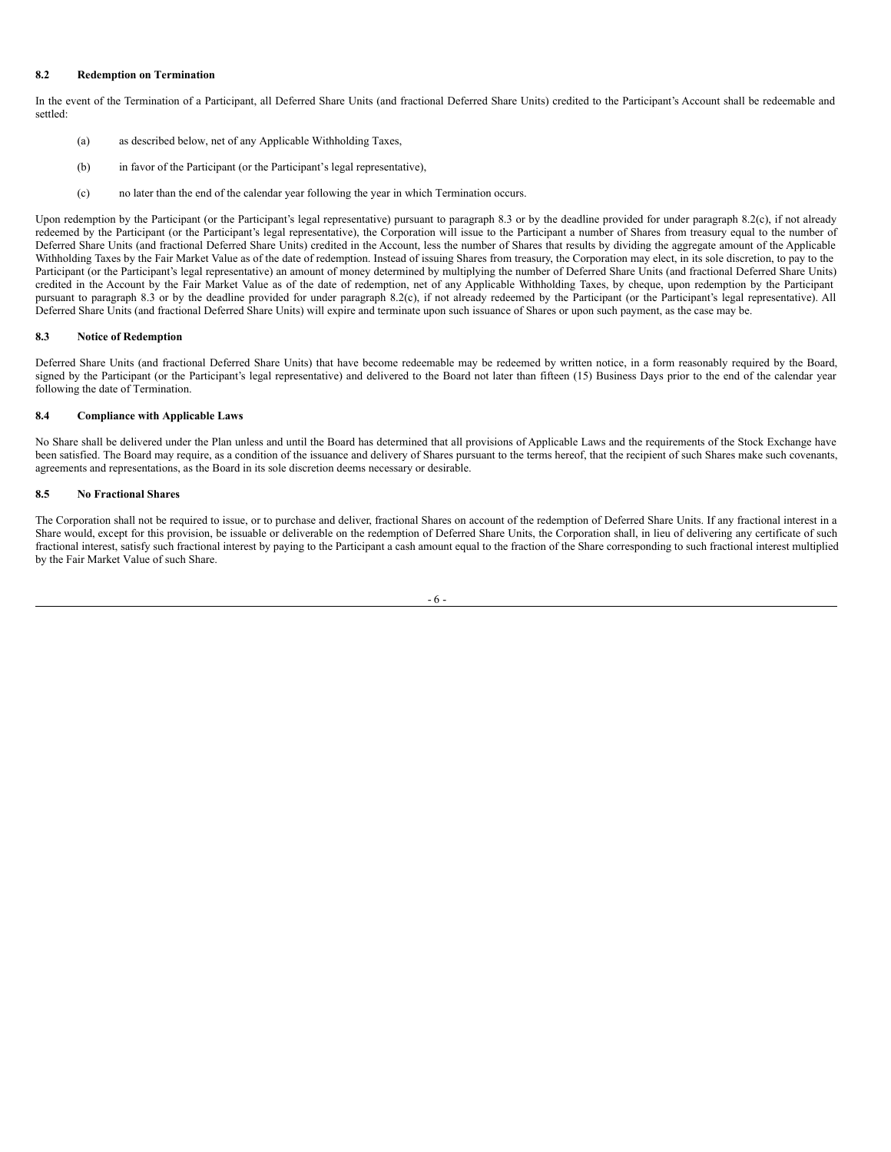# **8.2 Redemption on Termination**

In the event of the Termination of a Participant, all Deferred Share Units (and fractional Deferred Share Units) credited to the Participant's Account shall be redeemable and settled:

- (a) as described below, net of any Applicable Withholding Taxes,
- (b) in favor of the Participant (or the Participant's legal representative),
- (c) no later than the end of the calendar year following the year in which Termination occurs.

Upon redemption by the Participant (or the Participant's legal representative) pursuant to paragraph 8.3 or by the deadline provided for under paragraph 8.2(c), if not already redeemed by the Participant (or the Participant's legal representative), the Corporation will issue to the Participant a number of Shares from treasury equal to the number of Deferred Share Units (and fractional Deferred Share Units) credited in the Account, less the number of Shares that results by dividing the aggregate amount of the Applicable Withholding Taxes by the Fair Market Value as of the date of redemption. Instead of issuing Shares from treasury, the Corporation may elect, in its sole discretion, to pay to the Participant (or the Participant's legal representative) an amount of money determined by multiplying the number of Deferred Share Units (and fractional Deferred Share Units) credited in the Account by the Fair Market Value as of the date of redemption, net of any Applicable Withholding Taxes, by cheque, upon redemption by the Participant pursuant to paragraph 8.3 or by the deadline provided for under paragraph 8.2(c), if not already redeemed by the Participant (or the Participant's legal representative). All Deferred Share Units (and fractional Deferred Share Units) will expire and terminate upon such issuance of Shares or upon such payment, as the case may be.

#### **8.3 Notice of Redemption**

Deferred Share Units (and fractional Deferred Share Units) that have become redeemable may be redeemed by written notice, in a form reasonably required by the Board, signed by the Participant (or the Participant's legal representative) and delivered to the Board not later than fifteen (15) Business Days prior to the end of the calendar year following the date of Termination.

### **8.4 Compliance with Applicable Laws**

No Share shall be delivered under the Plan unless and until the Board has determined that all provisions of Applicable Laws and the requirements of the Stock Exchange have been satisfied. The Board may require, as a condition of the issuance and delivery of Shares pursuant to the terms hereof, that the recipient of such Shares make such covenants, agreements and representations, as the Board in its sole discretion deems necessary or desirable.

# **8.5 No Fractional Shares**

The Corporation shall not be required to issue, or to purchase and deliver, fractional Shares on account of the redemption of Deferred Share Units. If any fractional interest in a Share would, except for this provision, be issuable or deliverable on the redemption of Deferred Share Units, the Corporation shall, in lieu of delivering any certificate of such fractional interest, satisfy such fractional interest by paying to the Participant a cash amount equal to the fraction of the Share corresponding to such fractional interest multiplied by the Fair Market Value of such Share.

$$
-6 -
$$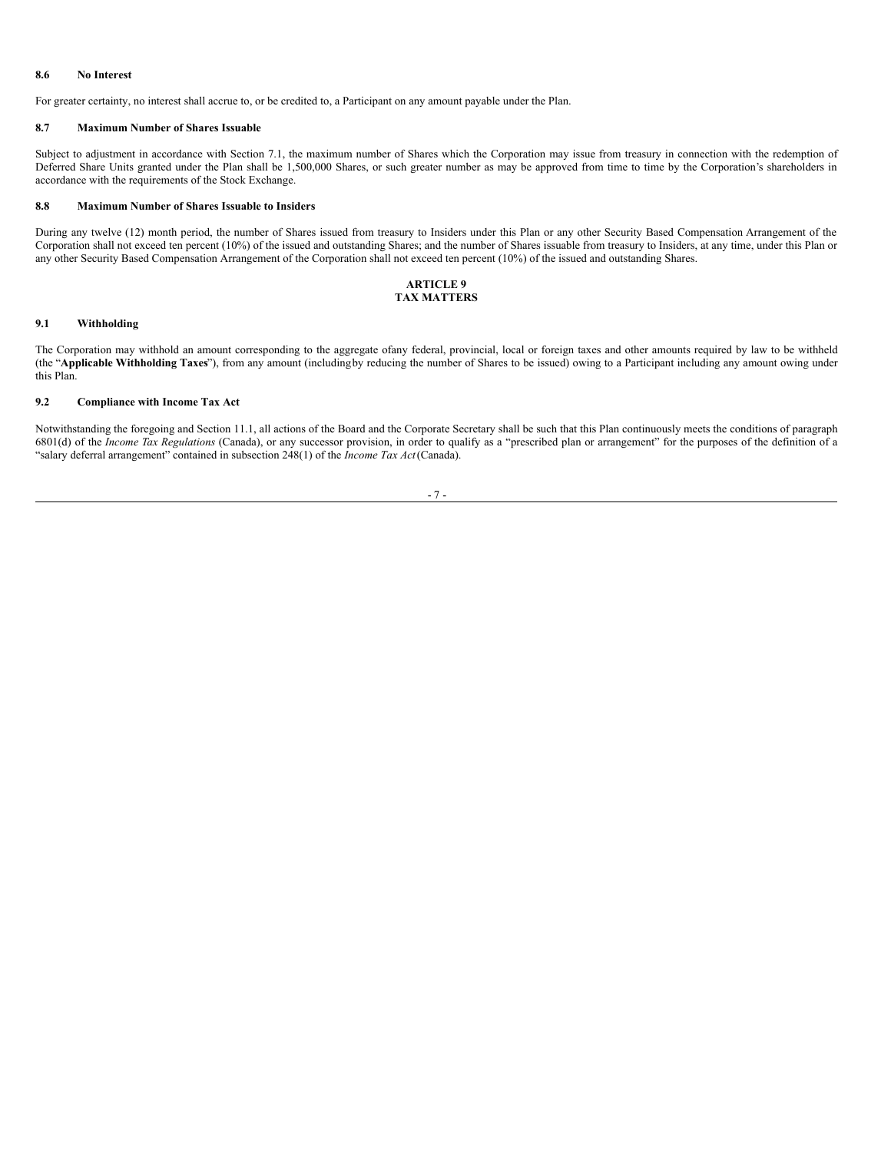#### **8.6 No Interest**

For greater certainty, no interest shall accrue to, or be credited to, a Participant on any amount payable under the Plan.

#### **8.7 Maximum Number of Shares Issuable**

Subject to adjustment in accordance with Section 7.1, the maximum number of Shares which the Corporation may issue from treasury in connection with the redemption of Deferred Share Units granted under the Plan shall be 1,500,000 Shares, or such greater number as may be approved from time to time by the Corporation's shareholders in accordance with the requirements of the Stock Exchange.

#### **8.8 Maximum Number of Shares Issuable to Insiders**

During any twelve (12) month period, the number of Shares issued from treasury to Insiders under this Plan or any other Security Based Compensation Arrangement of the Corporation shall not exceed ten percent (10%) of the issued and outstanding Shares; and the number of Shares issuable from treasury to Insiders, at any time, under this Plan or any other Security Based Compensation Arrangement of the Corporation shall not exceed ten percent (10%) of the issued and outstanding Shares.

#### **ARTICLE 9 TAX MATTERS**

#### **9.1 Withholding**

The Corporation may withhold an amount corresponding to the aggregate ofany federal, provincial, local or foreign taxes and other amounts required by law to be withheld (the "**Applicable Withholding Taxes**"), from any amount (includingby reducing the number of Shares to be issued) owing to a Participant including any amount owing under this Plan.

# **9.2 Compliance with Income Tax Act**

Notwithstanding the foregoing and Section 11.1, all actions of the Board and the Corporate Secretary shall be such that this Plan continuously meets the conditions of paragraph 6801(d) of the *Income Tax Regulations* (Canada), or any successor provision, in order to qualify as a "prescribed plan or arrangement" for the purposes of the definition of a "salary deferral arrangement" contained in subsection 248(1) of the *Income Tax Act*(Canada).

#### - 7 -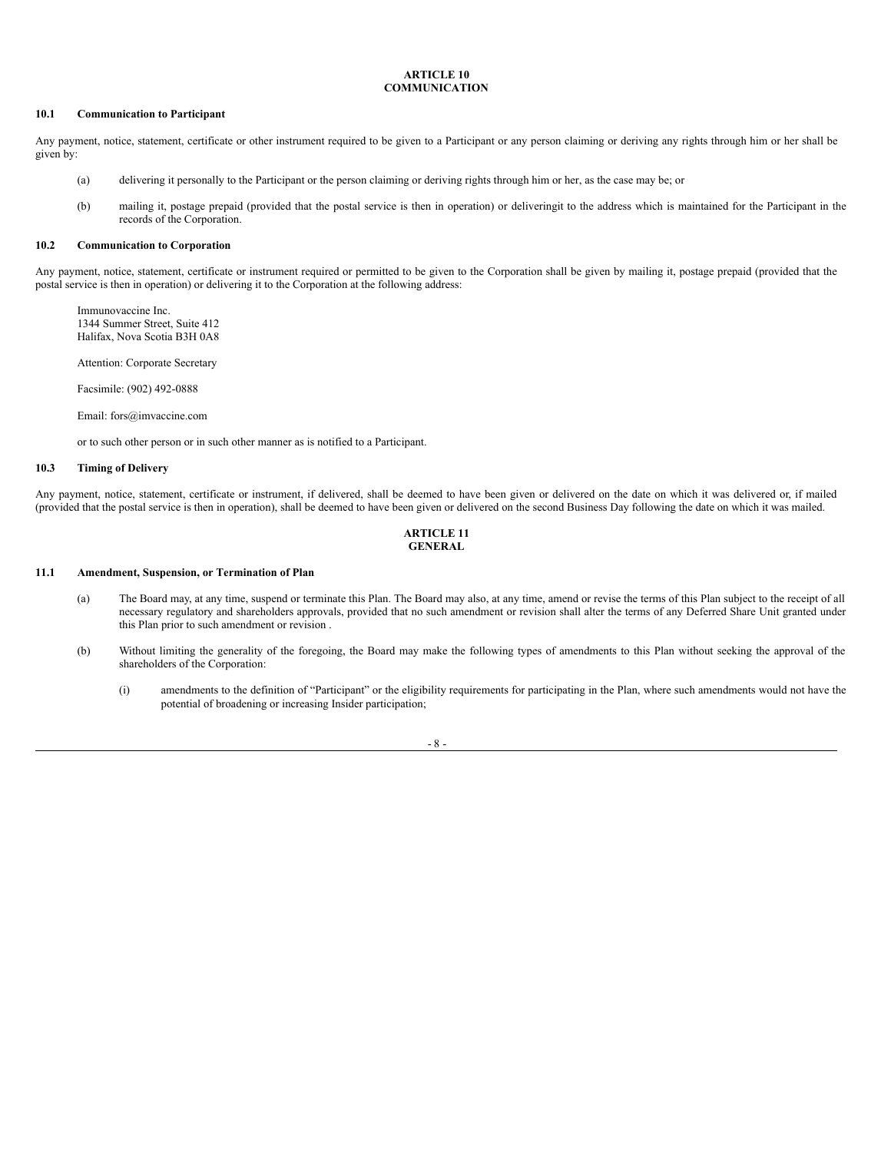#### <span id="page-29-0"></span>**ARTICLE 10 COMMUNICATION**

#### **10.1 Communication to Participant**

Any payment, notice, statement, certificate or other instrument required to be given to a Participant or any person claiming or deriving any rights through him or her shall be given by:

- (a) delivering it personally to the Participant or the person claiming or deriving rights through him or her, as the case may be; or
- (b) mailing it, postage prepaid (provided that the postal service is then in operation) or deliveringit to the address which is maintained for the Participant in the records of the Corporation.

#### **10.2 Communication to Corporation**

Any payment, notice, statement, certificate or instrument required or permitted to be given to the Corporation shall be given by mailing it, postage prepaid (provided that the postal service is then in operation) or delivering it to the Corporation at the following address:

Immunovaccine Inc. 1344 Summer Street, Suite 412 Halifax, Nova Scotia B3H 0A8

Attention: Corporate Secretary

Facsimile: (902) 492-0888

Email: fors@imvaccine.com

or to such other person or in such other manner as is notified to a Participant.

# **10.3 Timing of Delivery**

Any payment, notice, statement, certificate or instrument, if delivered, shall be deemed to have been given or delivered on the date on which it was delivered or, if mailed (provided that the postal service is then in operation), shall be deemed to have been given or delivered on the second Business Day following the date on which it was mailed.

#### **ARTICLE 11 GENERAL**

# **11.1 Amendment, Suspension, or Termination of Plan**

- (a) The Board may, at any time, suspend or terminate this Plan. The Board may also, at any time, amend or revise the terms of this Plan subject to the receipt of all necessary regulatory and shareholders approvals, provided that no such amendment or revision shall alter the terms of any Deferred Share Unit granted under this Plan prior to such amendment or revision .
- (b) Without limiting the generality of the foregoing, the Board may make the following types of amendments to this Plan without seeking the approval of the shareholders of the Corporation:
	- (i) amendments to the definition of "Participant" or the eligibility requirements for participating in the Plan, where such amendments would not have the potential of broadening or increasing Insider participation;

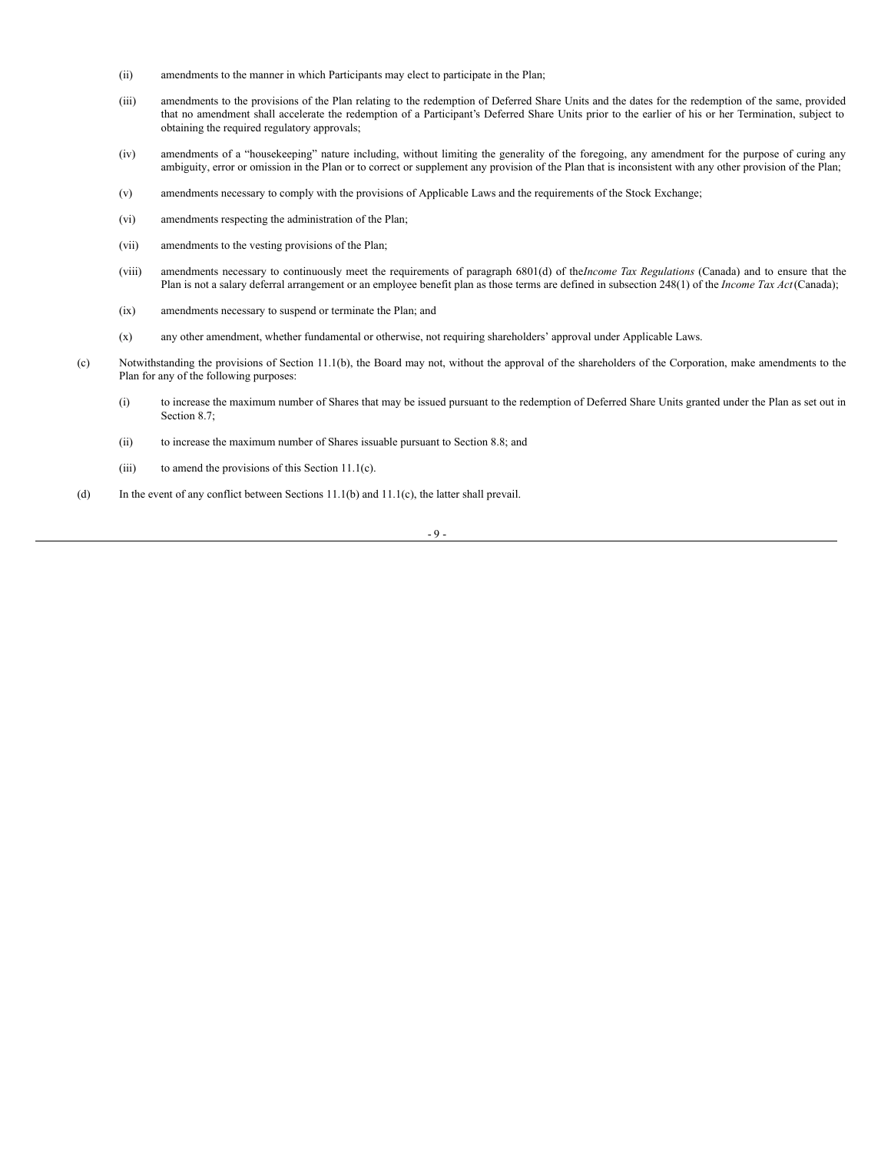- (ii) amendments to the manner in which Participants may elect to participate in the Plan;
- (iii) amendments to the provisions of the Plan relating to the redemption of Deferred Share Units and the dates for the redemption of the same, provided that no amendment shall accelerate the redemption of a Participant's Deferred Share Units prior to the earlier of his or her Termination, subject to obtaining the required regulatory approvals;
- (iv) amendments of a "housekeeping" nature including, without limiting the generality of the foregoing, any amendment for the purpose of curing any ambiguity, error or omission in the Plan or to correct or supplement any provision of the Plan that is inconsistent with any other provision of the Plan;
- (v) amendments necessary to comply with the provisions of Applicable Laws and the requirements of the Stock Exchange;
- (vi) amendments respecting the administration of the Plan;
- (vii) amendments to the vesting provisions of the Plan;
- (viii) amendments necessary to continuously meet the requirements of paragraph 6801(d) of the*Income Tax Regulations* (Canada) and to ensure that the Plan is not a salary deferral arrangement or an employee benefit plan as those terms are defined in subsection 248(1) of the *Income Tax Act*(Canada);
- (ix) amendments necessary to suspend or terminate the Plan; and
- (x) any other amendment, whether fundamental or otherwise, not requiring shareholders' approval under Applicable Laws.
- (c) Notwithstanding the provisions of Section 11.1(b), the Board may not, without the approval of the shareholders of the Corporation, make amendments to the Plan for any of the following purposes:
	- (i) to increase the maximum number of Shares that may be issued pursuant to the redemption of Deferred Share Units granted under the Plan as set out in Section 8.7;
	- (ii) to increase the maximum number of Shares issuable pursuant to Section 8.8; and
	- (iii) to amend the provisions of this Section 11.1(c).
- (d) In the event of any conflict between Sections 11.1(b) and 11.1(c), the latter shall prevail.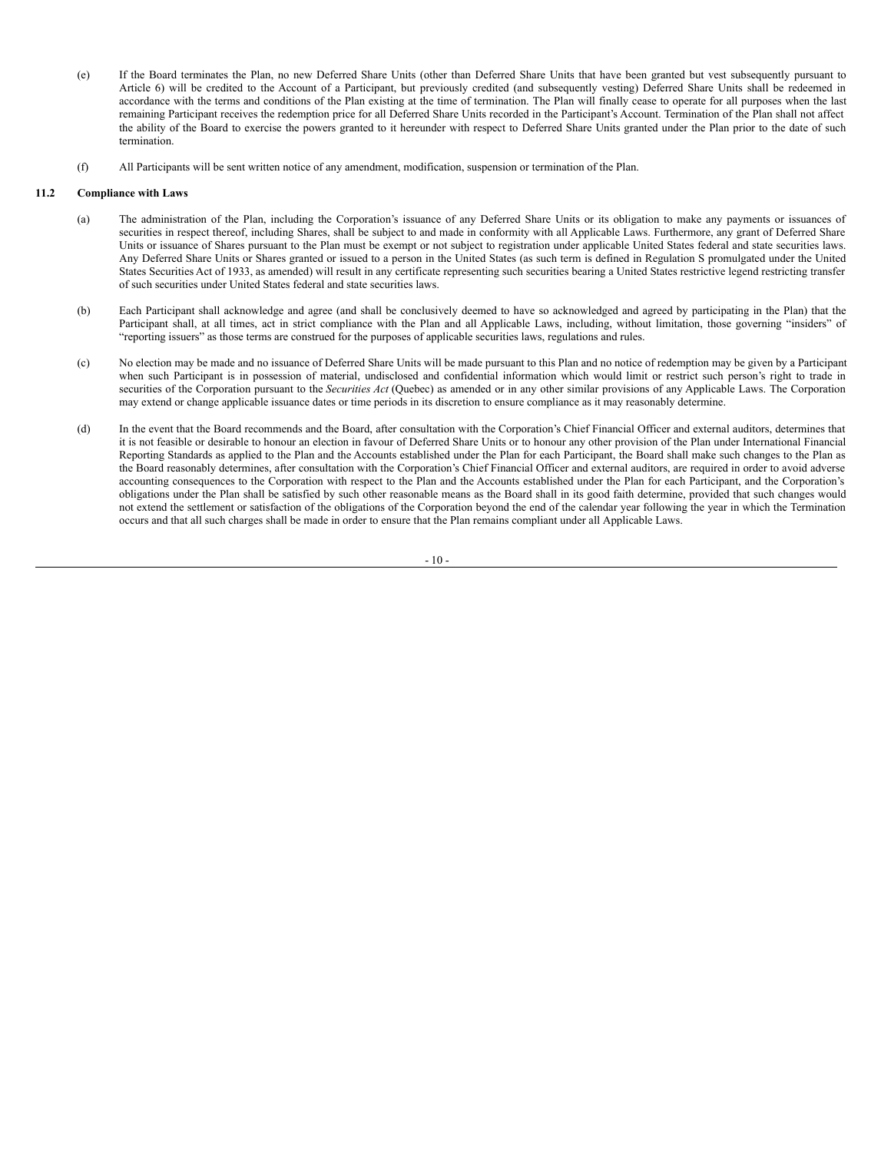- (e) If the Board terminates the Plan, no new Deferred Share Units (other than Deferred Share Units that have been granted but vest subsequently pursuant to Article 6) will be credited to the Account of a Participant, but previously credited (and subsequently vesting) Deferred Share Units shall be redeemed in accordance with the terms and conditions of the Plan existing at the time of termination. The Plan will finally cease to operate for all purposes when the last remaining Participant receives the redemption price for all Deferred Share Units recorded in the Participant's Account. Termination of the Plan shall not affect the ability of the Board to exercise the powers granted to it hereunder with respect to Deferred Share Units granted under the Plan prior to the date of such termination.
- (f) All Participants will be sent written notice of any amendment, modification, suspension or termination of the Plan.

# **11.2 Compliance with Laws**

- (a) The administration of the Plan, including the Corporation's issuance of any Deferred Share Units or its obligation to make any payments or issuances of securities in respect thereof, including Shares, shall be subject to and made in conformity with all Applicable Laws. Furthermore, any grant of Deferred Share Units or issuance of Shares pursuant to the Plan must be exempt or not subject to registration under applicable United States federal and state securities laws. Any Deferred Share Units or Shares granted or issued to a person in the United States (as such term is defined in Regulation S promulgated under the United States Securities Act of 1933, as amended) will result in any certificate representing such securities bearing a United States restrictive legend restricting transfer of such securities under United States federal and state securities laws.
- (b) Each Participant shall acknowledge and agree (and shall be conclusively deemed to have so acknowledged and agreed by participating in the Plan) that the Participant shall, at all times, act in strict compliance with the Plan and all Applicable Laws, including, without limitation, those governing "insiders" of "reporting issuers" as those terms are construed for the purposes of applicable securities laws, regulations and rules.
- (c) No election may be made and no issuance of Deferred Share Units will be made pursuant to this Plan and no notice of redemption may be given by a Participant when such Participant is in possession of material, undisclosed and confidential information which would limit or restrict such person's right to trade in securities of the Corporation pursuant to the *Securities Act* (Quebec) as amended or in any other similar provisions of any Applicable Laws. The Corporation may extend or change applicable issuance dates or time periods in its discretion to ensure compliance as it may reasonably determine.
- (d) In the event that the Board recommends and the Board, after consultation with the Corporation's Chief Financial Officer and external auditors, determines that it is not feasible or desirable to honour an election in favour of Deferred Share Units or to honour any other provision of the Plan under International Financial Reporting Standards as applied to the Plan and the Accounts established under the Plan for each Participant, the Board shall make such changes to the Plan as the Board reasonably determines, after consultation with the Corporation's Chief Financial Officer and external auditors, are required in order to avoid adverse accounting consequences to the Corporation with respect to the Plan and the Accounts established under the Plan for each Participant, and the Corporation's obligations under the Plan shall be satisfied by such other reasonable means as the Board shall in its good faith determine, provided that such changes would not extend the settlement or satisfaction of the obligations of the Corporation beyond the end of the calendar year following the year in which the Termination occurs and that all such charges shall be made in order to ensure that the Plan remains compliant under all Applicable Laws.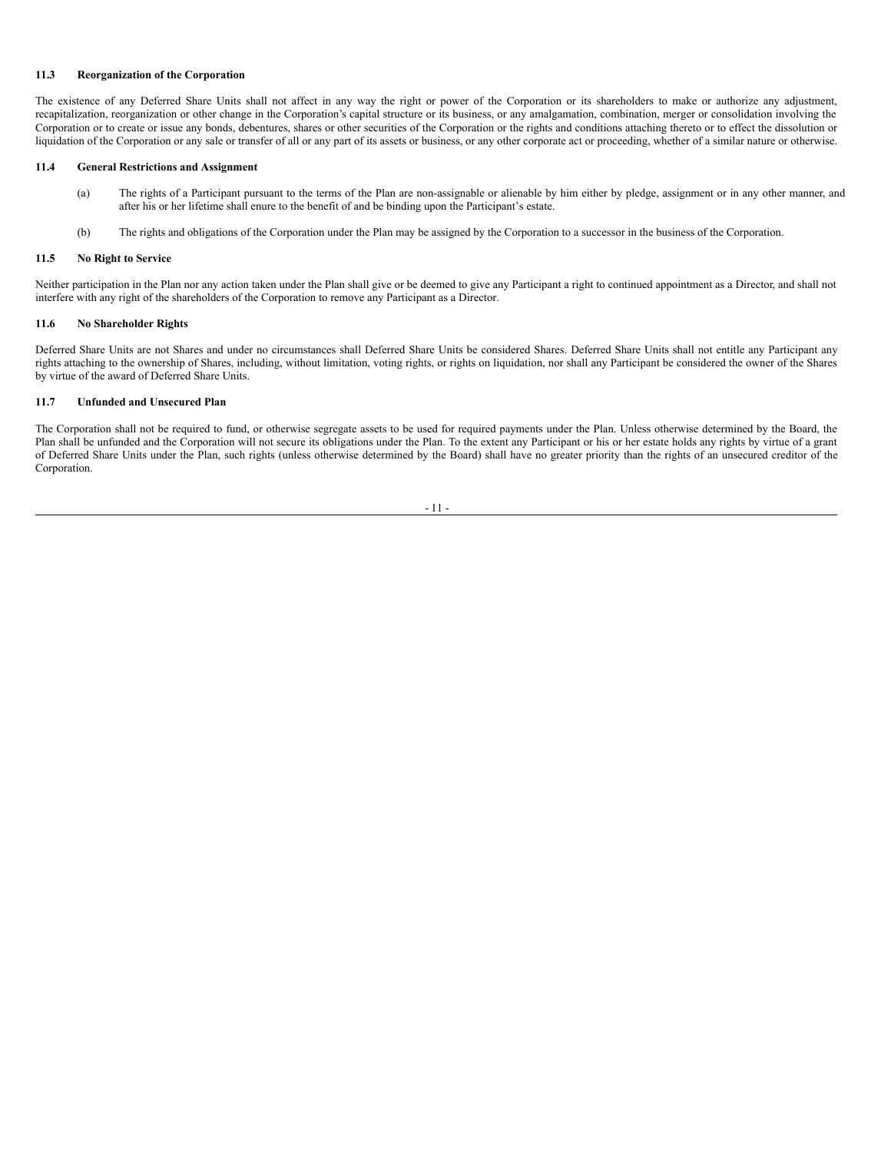# **11.3 Reorganization of the Corporation**

The existence of any Deferred Share Units shall not affect in any way the right or power of the Corporation or its shareholders to make or authorize any adjustment, recapitalization, reorganization or other change in the Corporation's capital structure or its business, or any amalgamation, combination, merger or consolidation involving the Corporation or to create or issue any bonds, debentures, shares or other securities of the Corporation or the rights and conditions attaching thereto or to effect the dissolution or liquidation of the Corporation or any sale or transfer of all or any part of its assets or business, or any other corporate act or proceeding, whether of a similar nature or otherwise.

# **11.4 General Restrictions and Assignment**

- (a) The rights of a Participant pursuant to the terms of the Plan are non-assignable or alienable by him either by pledge, assignment or in any other manner, and after his or her lifetime shall enure to the benefit of and be binding upon the Participant's estate.
- (b) The rights and obligations of the Corporation under the Plan may be assigned by the Corporation to a successor in the business of the Corporation.

#### **11.5 No Right to Service**

Neither participation in the Plan nor any action taken under the Plan shall give or be deemed to give any Participant a right to continued appointment as a Director, and shall not interfere with any right of the shareholders of the Corporation to remove any Participant as a Director.

#### **11.6 No Shareholder Rights**

Deferred Share Units are not Shares and under no circumstances shall Deferred Share Units be considered Shares. Deferred Share Units shall not entitle any Participant any rights attaching to the ownership of Shares, including, without limitation, voting rights, or rights on liquidation, nor shall any Participant be considered the owner of the Shares by virtue of the award of Deferred Share Units.

#### **11.7 Unfunded and Unsecured Plan**

The Corporation shall not be required to fund, or otherwise segregate assets to be used for required payments under the Plan. Unless otherwise determined by the Board, the Plan shall be unfunded and the Corporation will not secure its obligations under the Plan. To the extent any Participant or his or her estate holds any rights by virtue of a grant of Deferred Share Units under the Plan, such rights (unless otherwise determined by the Board) shall have no greater priority than the rights of an unsecured creditor of the Corporation.

$$
-11
$$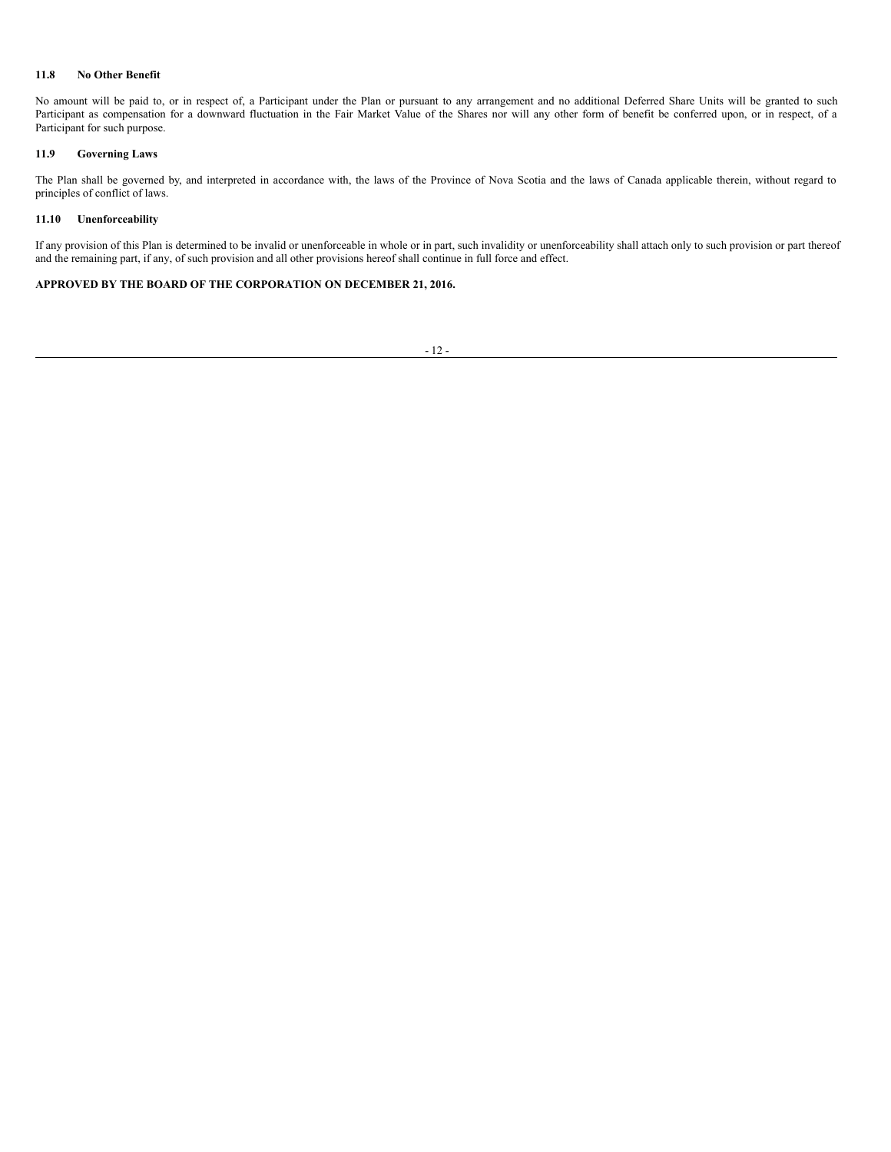# **11.8 No Other Benefit**

No amount will be paid to, or in respect of, a Participant under the Plan or pursuant to any arrangement and no additional Deferred Share Units will be granted to such Participant as compensation for a downward fluctuation in the Fair Market Value of the Shares nor will any other form of benefit be conferred upon, or in respect, of a Participant for such purpose.

# **11.9 Governing Laws**

The Plan shall be governed by, and interpreted in accordance with, the laws of the Province of Nova Scotia and the laws of Canada applicable therein, without regard to principles of conflict of laws.

# **11.10 Unenforceability**

If any provision of this Plan is determined to be invalid or unenforceable in whole or in part, such invalidity or unenforceability shall attach only to such provision or part thereof and the remaining part, if any, of such provision and all other provisions hereof shall continue in full force and effect.

# **APPROVED BY THE BOARD OF THE CORPORATION ON DECEMBER 21, 2016.**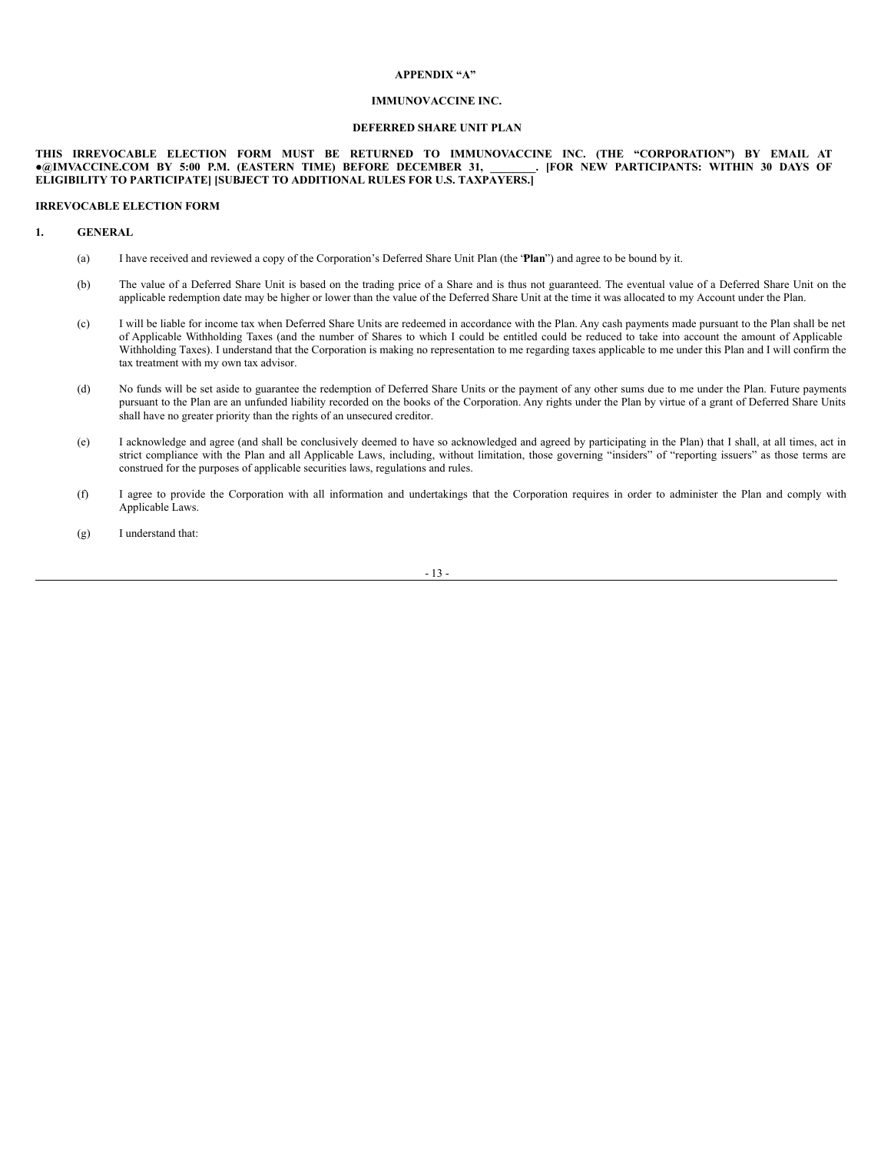# **APPENDIX "A"**

# **IMMUNOVACCINE INC.**

# **DEFERRED SHARE UNIT PLAN**

# **THIS IRREVOCABLE ELECTION FORM MUST BE RETURNED TO IMMUNOVACCINE INC. (THE "CORPORATION") BY EMAIL AT** · @IMVACCINE.COM BY 5:00 P.M. (EASTERN TIME) BEFORE DECEMBER 31, **ELIGIBILITY TO PARTICIPATE] [SUBJECT TO ADDITIONAL RULES FOR U.S. TAXPAYERS.]**

#### **IRREVOCABLE ELECTION FORM**

# **1. GENERAL**

- (a) I have received and reviewed a copy of the Corporation's Deferred Share Unit Plan (the "**Plan**") and agree to be bound by it.
- (b) The value of a Deferred Share Unit is based on the trading price of a Share and is thus not guaranteed. The eventual value of a Deferred Share Unit on the applicable redemption date may be higher or lower than the value of the Deferred Share Unit at the time it was allocated to my Account under the Plan.
- (c) I will be liable for income tax when Deferred Share Units are redeemed in accordance with the Plan. Any cash payments made pursuant to the Plan shall be net of Applicable Withholding Taxes (and the number of Shares to which I could be entitled could be reduced to take into account the amount of Applicable Withholding Taxes). I understand that the Corporation is making no representation to me regarding taxes applicable to me under this Plan and I will confirm the tax treatment with my own tax advisor.
- (d) No funds will be set aside to guarantee the redemption of Deferred Share Units or the payment of any other sums due to me under the Plan. Future payments pursuant to the Plan are an unfunded liability recorded on the books of the Corporation. Any rights under the Plan by virtue of a grant of Deferred Share Units shall have no greater priority than the rights of an unsecured creditor.
- (e) I acknowledge and agree (and shall be conclusively deemed to have so acknowledged and agreed by participating in the Plan) that I shall, at all times, act in strict compliance with the Plan and all Applicable Laws, including, without limitation, those governing "insiders" of "reporting issuers" as those terms are construed for the purposes of applicable securities laws, regulations and rules.
- (f) I agree to provide the Corporation with all information and undertakings that the Corporation requires in order to administer the Plan and comply with Applicable Laws.
- (g) I understand that:

- 13 -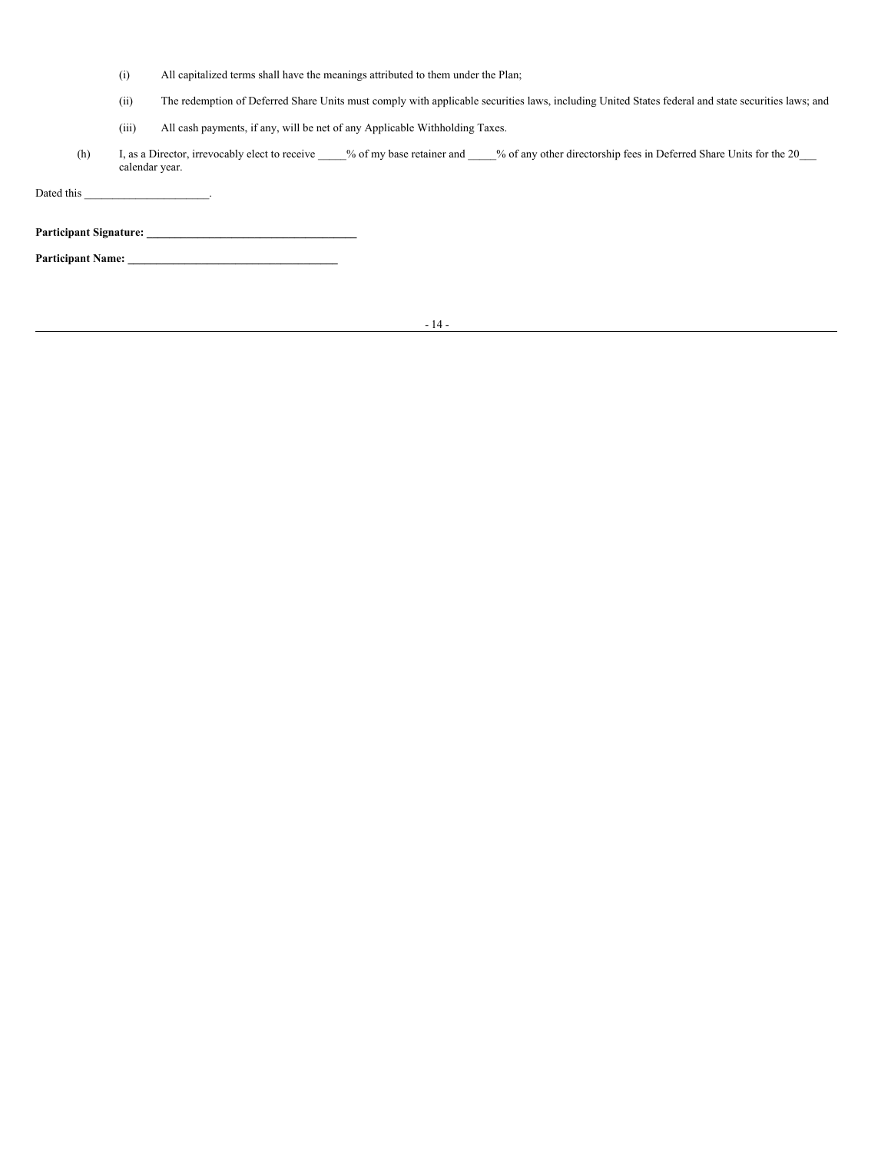- (i) All capitalized terms shall have the meanings attributed to them under the Plan;
- (ii) The redemption of Deferred Share Units must comply with applicable securities laws, including United States federal and state securities laws; and
- (iii) All cash payments, if any, will be net of any Applicable Withholding Taxes.
- (h) I, as a Director, irrevocably elect to receive \_\_\_\_\_% of my base retainer and \_\_\_\_% of any other directorship fees in Deferred Share Units for the 20\_\_\_ calendar year.

Dated this \_\_\_\_\_\_\_\_\_\_\_\_\_\_\_\_\_\_\_\_\_\_\_\_\_\_\_\_\_\_\_\_.

**Participant Signature: \_\_\_\_\_\_\_\_\_\_\_\_\_\_\_\_\_\_\_\_\_\_\_\_\_\_\_\_\_\_\_\_\_\_\_\_\_**

**Participant Name: \_\_\_\_\_\_\_\_\_\_\_\_\_\_\_\_\_\_\_\_\_\_\_\_\_\_\_\_\_\_\_\_\_\_\_\_\_**

- 14 -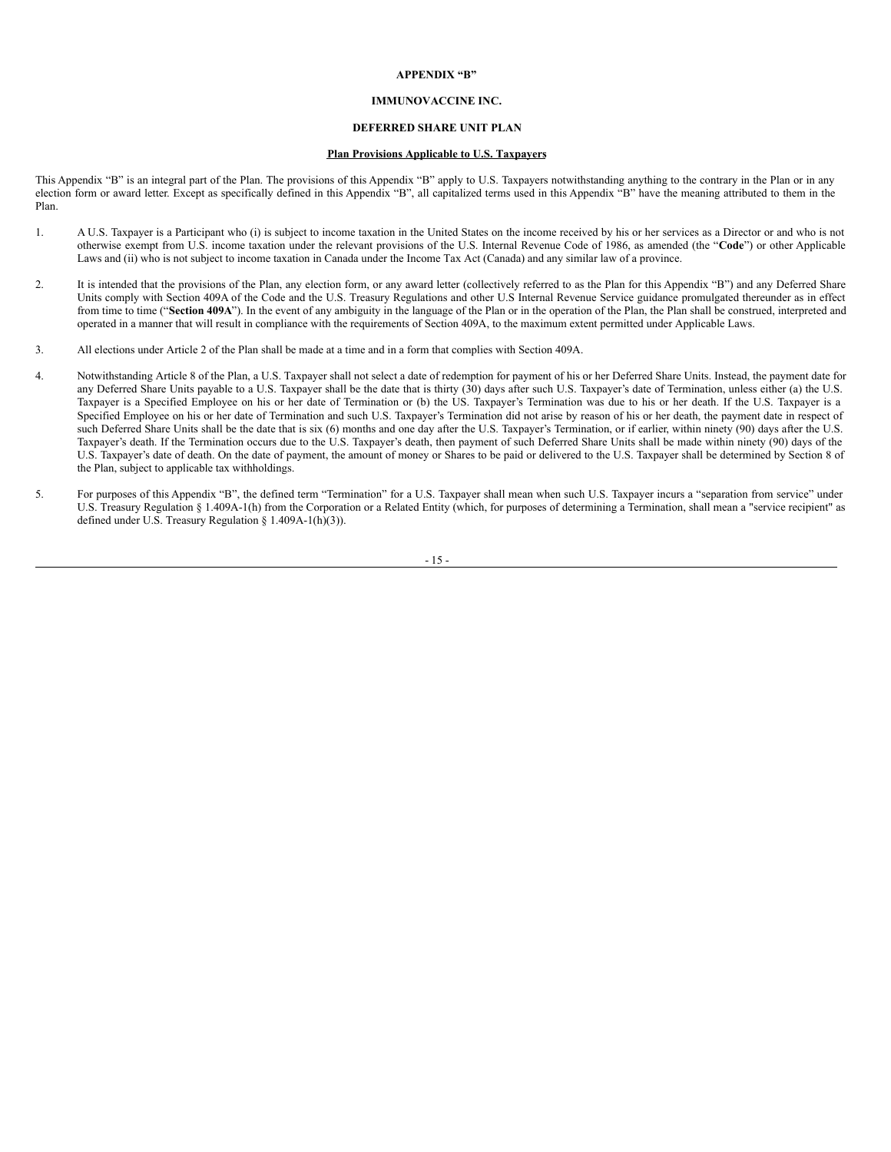# **APPENDIX "B"**

# **IMMUNOVACCINE INC.**

# **DEFERRED SHARE UNIT PLAN**

# **Plan Provisions Applicable to U.S. Taxpayers**

This Appendix "B" is an integral part of the Plan. The provisions of this Appendix "B" apply to U.S. Taxpayers notwithstanding anything to the contrary in the Plan or in any election form or award letter. Except as specifically defined in this Appendix "B", all capitalized terms used in this Appendix "B" have the meaning attributed to them in the Plan.

- 1. A U.S. Taxpayer is a Participant who (i) is subject to income taxation in the United States on the income received by his or her services as a Director or and who is not otherwise exempt from U.S. income taxation under the relevant provisions of the U.S. Internal Revenue Code of 1986, as amended (the "**Code**") or other Applicable Laws and (ii) who is not subject to income taxation in Canada under the Income Tax Act (Canada) and any similar law of a province.
- 2. It is intended that the provisions of the Plan, any election form, or any award letter (collectively referred to as the Plan for this Appendix "B") and any Deferred Share Units comply with Section 409A of the Code and the U.S. Treasury Regulations and other U.S Internal Revenue Service guidance promulgated thereunder as in effect from time to time ("Section 409A"). In the event of any ambiguity in the language of the Plan or in the operation of the Plan, the Plan shall be construed, interpreted and operated in a manner that will result in compliance with the requirements of Section 409A, to the maximum extent permitted under Applicable Laws.
- 3. All elections under Article 2 of the Plan shall be made at a time and in a form that complies with Section 409A.
- 4. Notwithstanding Article 8 of the Plan, a U.S. Taxpayer shall not select a date of redemption for payment of his or her Deferred Share Units. Instead, the payment date for any Deferred Share Units payable to a U.S. Taxpayer shall be the date that is thirty (30) days after such U.S. Taxpayer's date of Termination, unless either (a) the U.S. Taxpayer is a Specified Employee on his or her date of Termination or (b) the US. Taxpayer's Termination was due to his or her death. If the U.S. Taxpayer is a Specified Employee on his or her date of Termination and such U.S. Taxpayer's Termination did not arise by reason of his or her death, the payment date in respect of such Deferred Share Units shall be the date that is six (6) months and one day after the U.S. Taxpayer's Termination, or if earlier, within ninety (90) days after the U.S. Taxpayer's death. If the Termination occurs due to the U.S. Taxpayer's death, then payment of such Deferred Share Units shall be made within ninety (90) days of the U.S. Taxpayer's date of death. On the date of payment, the amount of money or Shares to be paid or delivered to the U.S. Taxpayer shall be determined by Section 8 of the Plan, subject to applicable tax withholdings.
- 5. For purposes of this Appendix "B", the defined term "Termination" for a U.S. Taxpayer shall mean when such U.S. Taxpayer incurs a "separation from service" under U.S. Treasury Regulation § 1.409A-1(h) from the Corporation or a Related Entity (which, for purposes of determining a Termination, shall mean a "service recipient" as defined under U.S. Treasury Regulation § 1.409A-1(h)(3)).

- 15 -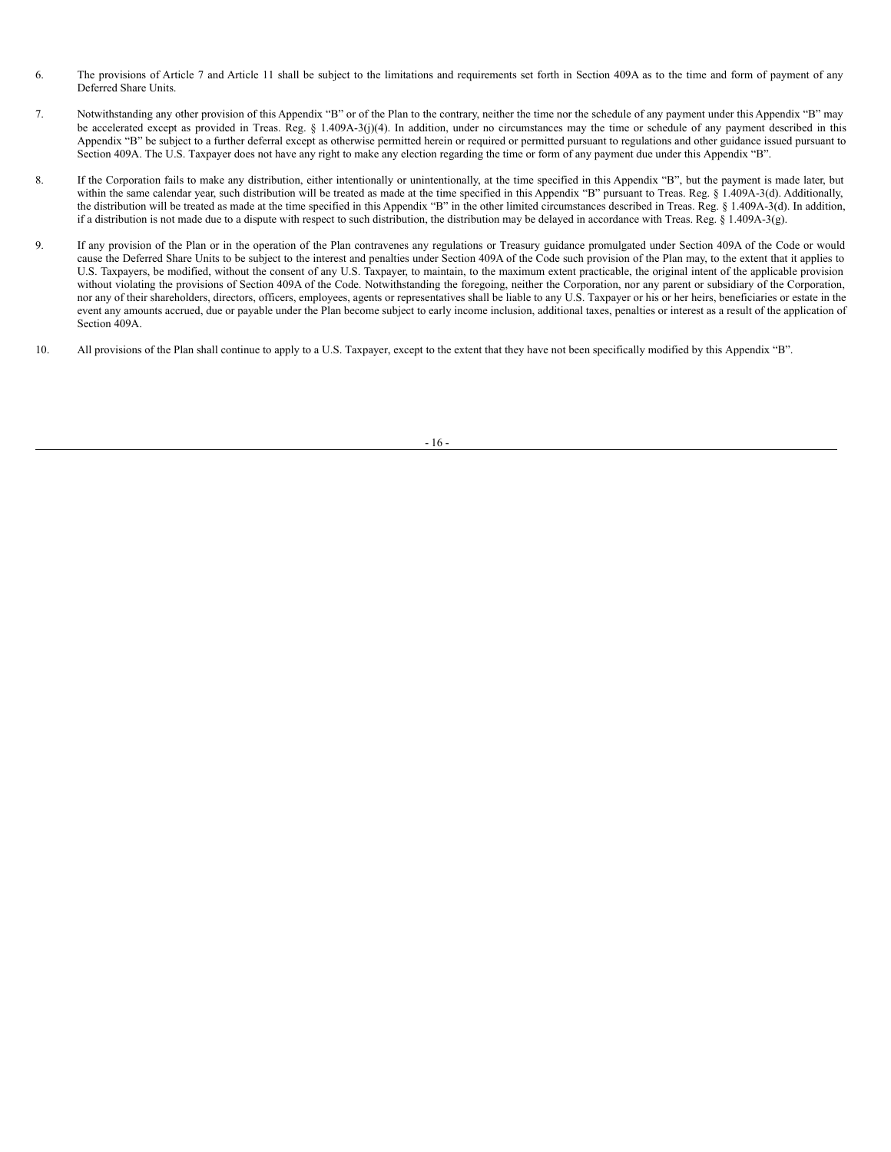- 6. The provisions of Article 7 and Article 11 shall be subject to the limitations and requirements set forth in Section 409A as to the time and form of payment of any Deferred Share Units.
- 7. Notwithstanding any other provision of this Appendix "B" or of the Plan to the contrary, neither the time nor the schedule of any payment under this Appendix "B" may be accelerated except as provided in Treas. Reg. § 1.409A-3(j)(4). In addition, under no circumstances may the time or schedule of any payment described in this Appendix "B" be subject to a further deferral except as otherwise permitted herein or required or permitted pursuant to regulations and other guidance issued pursuant to Section 409A. The U.S. Taxpayer does not have any right to make any election regarding the time or form of any payment due under this Appendix "B".
- 8. If the Corporation fails to make any distribution, either intentionally or unintentionally, at the time specified in this Appendix "B", but the payment is made later, but within the same calendar year, such distribution will be treated as made at the time specified in this Appendix "B" pursuant to Treas. Reg. § 1.409A-3(d). Additionally, the distribution will be treated as made at the time specified in this Appendix "B" in the other limited circumstances described in Treas. Reg. § 1.409A-3(d). In addition, if a distribution is not made due to a dispute with respect to such distribution, the distribution may be delayed in accordance with Treas. Reg. § 1.409A-3(g).
- 9. If any provision of the Plan or in the operation of the Plan contravenes any regulations or Treasury guidance promulgated under Section 409A of the Code or would cause the Deferred Share Units to be subject to the interest and penalties under Section 409A of the Code such provision of the Plan may, to the extent that it applies to U.S. Taxpayers, be modified, without the consent of any U.S. Taxpayer, to maintain, to the maximum extent practicable, the original intent of the applicable provision without violating the provisions of Section 409A of the Code. Notwithstanding the foregoing, neither the Corporation, nor any parent or subsidiary of the Corporation, nor any of their shareholders, directors, officers, employees, agents or representatives shall be liable to any U.S. Taxpayer or his or her heirs, beneficiaries or estate in the event any amounts accrued, due or payable under the Plan become subject to early income inclusion, additional taxes, penalties or interest as a result of the application of Section 409A.
- 10. All provisions of the Plan shall continue to apply to a U.S. Taxpayer, except to the extent that they have not been specifically modified by this Appendix "B".

- 16 -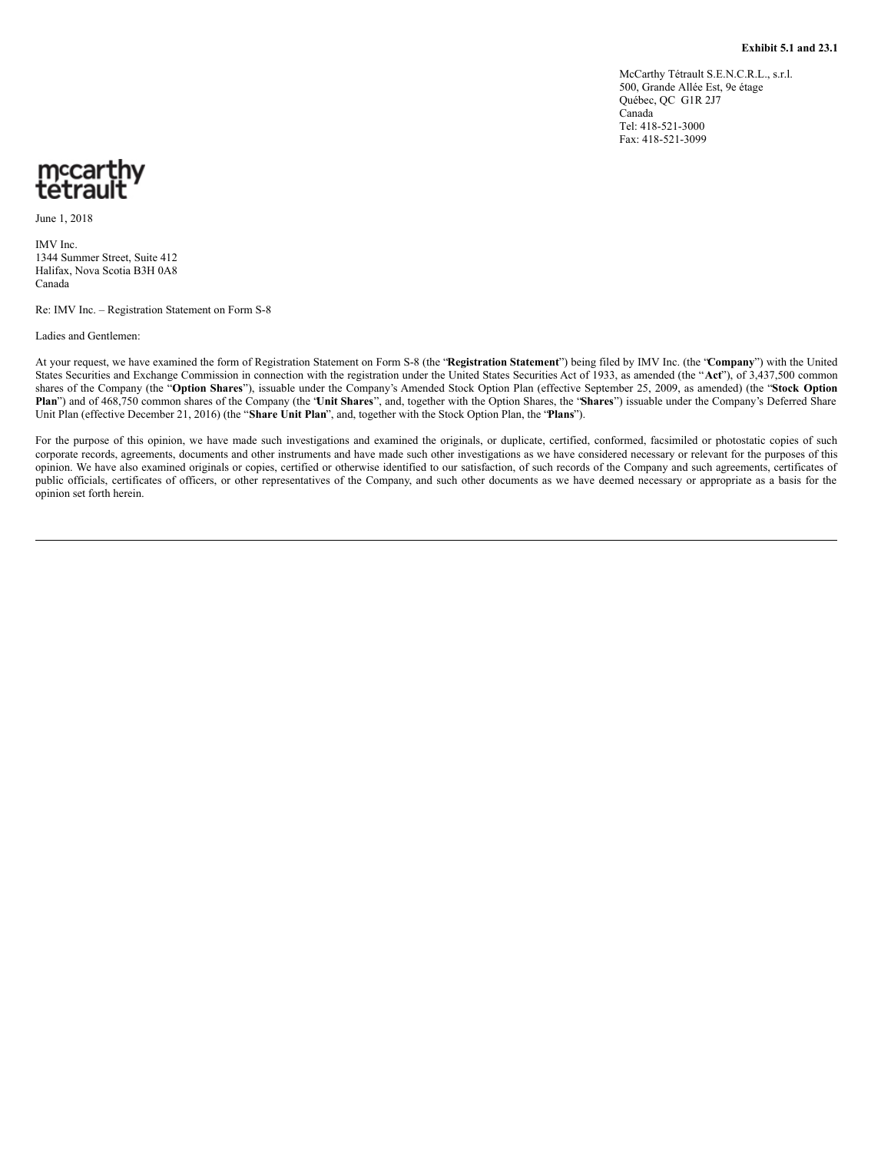McCarthy Tétrault S.E.N.C.R.L., s.r.l. 500, Grande Allée Est, 9e étage Québec, QC G1R 2J7 Canada Tel: 418-521-3000 Fax: 418-521-3099

# <span id="page-38-0"></span>mccarthy<br>tetrault

June 1, 2018

IMV Inc. 1344 Summer Street, Suite 412 Halifax, Nova Scotia B3H 0A8 Canada

Re: IMV Inc. – Registration Statement on Form S-8

Ladies and Gentlemen:

At your request, we have examined the form of Registration Statement on Form S-8 (the "**Registration Statement**") being filed by IMV Inc. (the "**Company**") with the United States Securities and Exchange Commission in connection with the registration under the United States Securities Act of 1933, as amended (the "**Act**"), of 3,437,500 common shares of the Company (the "**Option Shares**"), issuable under the Company's Amended Stock Option Plan (effective September 25, 2009, as amended) (the "**Stock Option Plan**") and of 468,750 common shares of the Company (the "**Unit Shares**", and, together with the Option Shares, the "**Shares**") issuable under the Company's Deferred Share Unit Plan (effective December 21, 2016) (the "**Share Unit Plan**", and, together with the Stock Option Plan, the "**Plans**").

For the purpose of this opinion, we have made such investigations and examined the originals, or duplicate, certified, conformed, facsimiled or photostatic copies of such corporate records, agreements, documents and other instruments and have made such other investigations as we have considered necessary or relevant for the purposes of this opinion. We have also examined originals or copies, certified or otherwise identified to our satisfaction, of such records of the Company and such agreements, certificates of public officials, certificates of officers, or other representatives of the Company, and such other documents as we have deemed necessary or appropriate as a basis for the opinion set forth herein.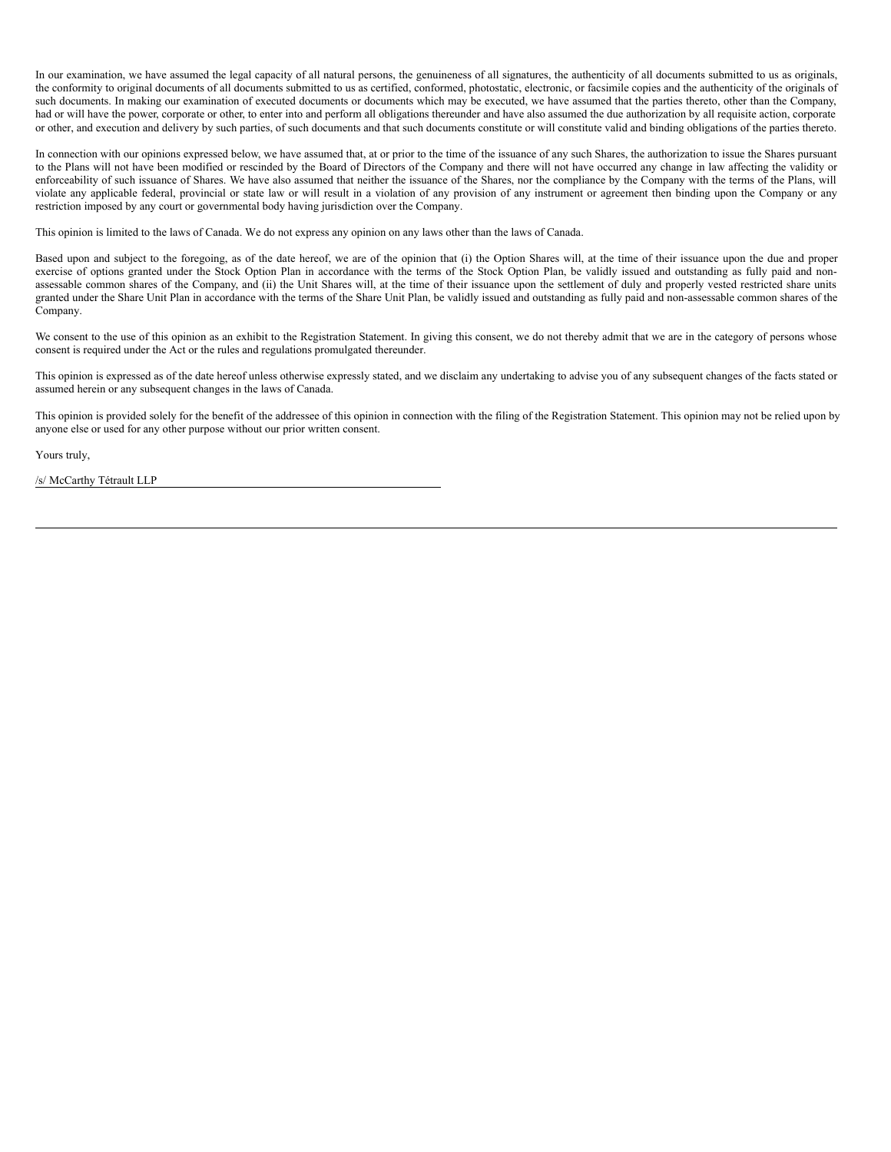In our examination, we have assumed the legal capacity of all natural persons, the genuineness of all signatures, the authenticity of all documents submitted to us as originals, the conformity to original documents of all documents submitted to us as certified, conformed, photostatic, electronic, or facsimile copies and the authenticity of the originals of such documents. In making our examination of executed documents or documents which may be executed, we have assumed that the parties thereto, other than the Company, had or will have the power, corporate or other, to enter into and perform all obligations thereunder and have also assumed the due authorization by all requisite action, corporate or other, and execution and delivery by such parties, of such documents and that such documents constitute or will constitute valid and binding obligations of the parties thereto.

In connection with our opinions expressed below, we have assumed that, at or prior to the time of the issuance of any such Shares, the authorization to issue the Shares pursuant to the Plans will not have been modified or rescinded by the Board of Directors of the Company and there will not have occurred any change in law affecting the validity or enforceability of such issuance of Shares. We have also assumed that neither the issuance of the Shares, nor the compliance by the Company with the terms of the Plans, will violate any applicable federal, provincial or state law or will result in a violation of any provision of any instrument or agreement then binding upon the Company or any restriction imposed by any court or governmental body having jurisdiction over the Company.

This opinion is limited to the laws of Canada. We do not express any opinion on any laws other than the laws of Canada.

Based upon and subject to the foregoing, as of the date hereof, we are of the opinion that (i) the Option Shares will, at the time of their issuance upon the due and proper exercise of options granted under the Stock Option Plan in accordance with the terms of the Stock Option Plan, be validly issued and outstanding as fully paid and nonassessable common shares of the Company, and (ii) the Unit Shares will, at the time of their issuance upon the settlement of duly and properly vested restricted share units granted under the Share Unit Plan in accordance with the terms of the Share Unit Plan, be validly issued and outstanding as fully paid and non-assessable common shares of the Company.

We consent to the use of this opinion as an exhibit to the Registration Statement. In giving this consent, we do not thereby admit that we are in the category of persons whose consent is required under the Act or the rules and regulations promulgated thereunder.

This opinion is expressed as of the date hereof unless otherwise expressly stated, and we disclaim any undertaking to advise you of any subsequent changes of the facts stated or assumed herein or any subsequent changes in the laws of Canada.

This opinion is provided solely for the benefit of the addressee of this opinion in connection with the filing of the Registration Statement. This opinion may not be relied upon by anyone else or used for any other purpose without our prior written consent.

Yours truly,

/s/ McCarthy Tétrault LLP